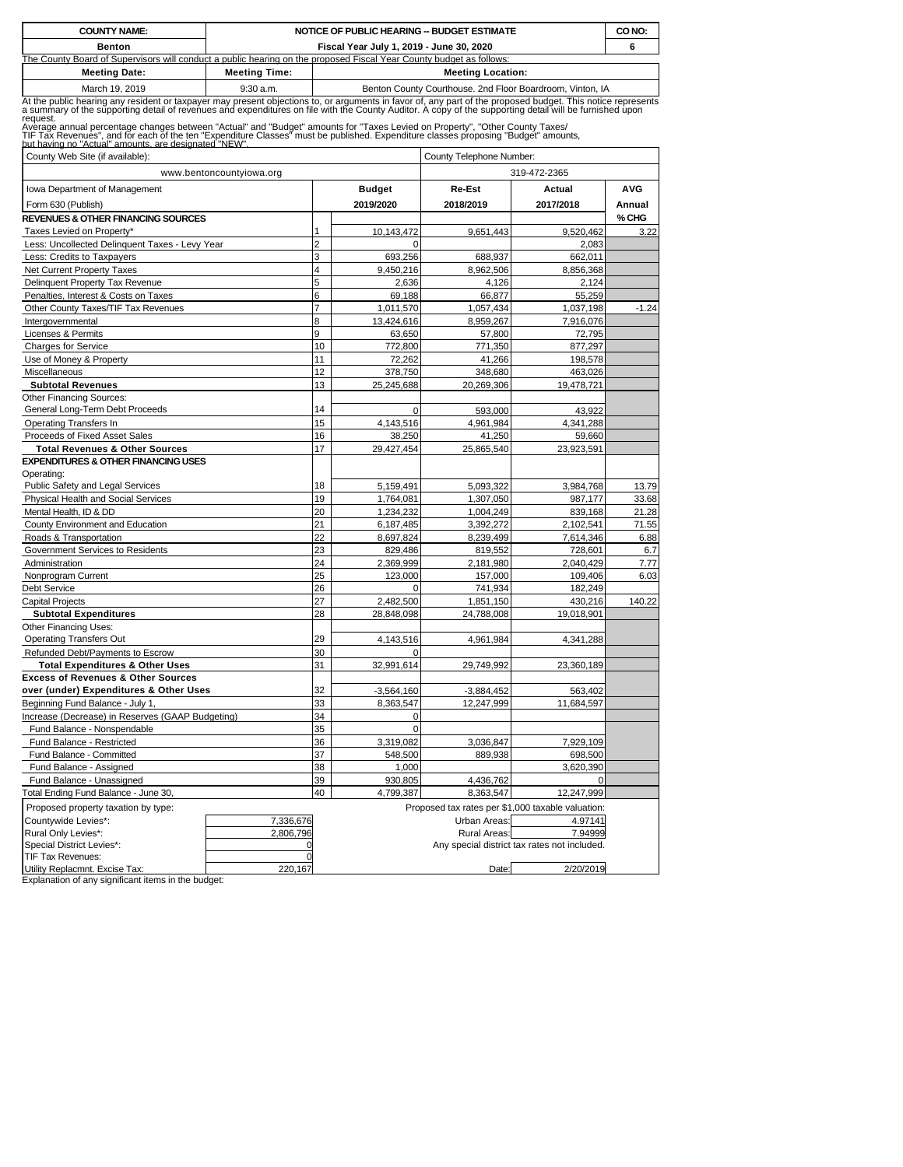| <b>COUNTY NAME:</b>                                                                                                                                                                                                                           |                                          | NOTICE OF PUBLIC HEARING -- BUDGET ESTIMATE                                                                         |  |  |  |  |  |  |  |  |  |
|-----------------------------------------------------------------------------------------------------------------------------------------------------------------------------------------------------------------------------------------------|------------------------------------------|---------------------------------------------------------------------------------------------------------------------|--|--|--|--|--|--|--|--|--|
| <b>Benton</b>                                                                                                                                                                                                                                 | Fiscal Year July 1, 2019 - June 30, 2020 |                                                                                                                     |  |  |  |  |  |  |  |  |  |
|                                                                                                                                                                                                                                               |                                          | The County Board of Supervisors will conduct a public hearing on the proposed Fiscal Year County budget as follows: |  |  |  |  |  |  |  |  |  |
| <b>Meeting Date:</b><br><b>Meeting Location:</b><br><b>Meeting Time:</b>                                                                                                                                                                      |                                          |                                                                                                                     |  |  |  |  |  |  |  |  |  |
| March 19, 2019                                                                                                                                                                                                                                | $9:30$ a.m.                              | Benton County Courthouse. 2nd Floor Boardroom, Vinton, IA                                                           |  |  |  |  |  |  |  |  |  |
| At the public hearing any resident or taxpayer may present objections to, or arguments in favor of, any part of the proposed budget. This notice represents<br>a summary of the supporting detail of revenues and expenditures on<br>reauest. |                                          |                                                                                                                     |  |  |  |  |  |  |  |  |  |
| Average annual percentage changes between "Actual" and "Budget" amounts for "Taxes Levied on Property", "Other County Taxes/                                                                                                                  |                                          |                                                                                                                     |  |  |  |  |  |  |  |  |  |

Average annual percentage changes between "Actual" and "Budget" amounts for "Taxes Levied on Property", "Other County Taxes/<br>TIF Tax Revenues", and for each of the ten "Expenditure Classes" must be published. Expenditure c

| 12011 10. I 10. I<br>County Web Site (if available):           | County Telephone Number: |               |                     |                                                   |            |  |  |
|----------------------------------------------------------------|--------------------------|---------------|---------------------|---------------------------------------------------|------------|--|--|
| www.bentoncountyiowa.org                                       |                          |               |                     | 319-472-2365                                      |            |  |  |
| Iowa Department of Management                                  |                          | <b>Budget</b> | Re-Est              | Actual                                            | <b>AVG</b> |  |  |
| Form 630 (Publish)                                             |                          | 2019/2020     | 2018/2019           | 2017/2018                                         | Annual     |  |  |
| <b>REVENUES &amp; OTHER FINANCING SOURCES</b>                  |                          |               |                     |                                                   | % CHG      |  |  |
| Taxes Levied on Property*                                      | 1                        | 10,143,472    | 9,651,443           | 9,520,462                                         | 3.22       |  |  |
| Less: Uncollected Delinquent Taxes - Levy Year                 | $\overline{2}$           | $\Omega$      |                     | 2,083                                             |            |  |  |
| Less: Credits to Taxpayers                                     | 3                        | 693,256       | 688,937             | 662,011                                           |            |  |  |
| Net Current Property Taxes                                     | 4                        | 9,450,216     | 8,962,506           | 8,856,368                                         |            |  |  |
| Delinquent Property Tax Revenue                                | 5                        | 2,636         | 4,126               | 2,124                                             |            |  |  |
| Penalties, Interest & Costs on Taxes                           | 6                        | 69,188        | 66,877              | 55,259                                            |            |  |  |
| Other County Taxes/TIF Tax Revenues                            | $\overline{7}$           | 1,011,570     | 1,057,434           | 1,037,198                                         | $-1.24$    |  |  |
| Intergovernmental                                              | 8                        | 13,424,616    | 8,959,267           | 7,916,076                                         |            |  |  |
| Licenses & Permits                                             | 9                        | 63,650        | 57,800              | 72,795                                            |            |  |  |
| <b>Charges for Service</b>                                     | 10                       | 772.800       | 771.350             | 877,297                                           |            |  |  |
| Use of Money & Property                                        | 11                       | 72,262        | 41,266              | 198,578                                           |            |  |  |
| Miscellaneous                                                  | 12                       | 378,750       | 348,680             | 463,026                                           |            |  |  |
| <b>Subtotal Revenues</b>                                       | 13                       | 25,245,688    | 20,269,306          | 19,478,721                                        |            |  |  |
| <b>Other Financing Sources:</b>                                |                          |               |                     |                                                   |            |  |  |
| General Long-Term Debt Proceeds                                | 14                       | $\mathbf 0$   | 593,000             | 43,922                                            |            |  |  |
| <b>Operating Transfers In</b>                                  | 15                       | 4,143,516     | 4,961,984           | 4,341,288                                         |            |  |  |
| Proceeds of Fixed Asset Sales                                  | 16                       | 38,250        | 41,250              | 59,660                                            |            |  |  |
| <b>Total Revenues &amp; Other Sources</b>                      | 17                       | 29,427,454    | 25,865,540          | 23,923,591                                        |            |  |  |
| <b>EXPENDITURES &amp; OTHER FINANCING USES</b>                 |                          |               |                     |                                                   |            |  |  |
| Operating:                                                     |                          |               |                     |                                                   |            |  |  |
| Public Safety and Legal Services                               | 18                       | 5,159,491     | 5,093,322           | 3,984,768                                         | 13.79      |  |  |
| Physical Health and Social Services                            | 19                       | 1,764,081     | 1,307,050           | 987,177                                           | 33.68      |  |  |
| Mental Health, ID & DD                                         | 20                       | 1,234,232     | 1,004,249           | 839,168                                           | 21.28      |  |  |
| County Environment and Education                               | 21                       | 6,187,485     | 3,392,272           | 2,102,541                                         | 71.55      |  |  |
| Roads & Transportation                                         | 22                       | 8,697,824     | 8,239,499           | 7,614,346                                         | 6.88       |  |  |
| Government Services to Residents                               | 23                       | 829,486       | 819,552             | 728,601                                           | 6.7        |  |  |
| Administration                                                 | 24                       | 2,369,999     | 2,181,980           | 2,040,429                                         | 7.77       |  |  |
| Nonprogram Current                                             | 25                       | 123,000       | 157,000             | 109,406                                           | 6.03       |  |  |
| Debt Service                                                   | 26                       | 0             | 741,934             | 182,249                                           |            |  |  |
| <b>Capital Projects</b>                                        | 27                       | 2,482,500     | 1,851,150           | 430,216                                           | 140.22     |  |  |
| <b>Subtotal Expenditures</b>                                   | 28                       | 28,848,098    | 24,788,008          | 19,018,901                                        |            |  |  |
| <b>Other Financing Uses:</b>                                   |                          |               |                     |                                                   |            |  |  |
| <b>Operating Transfers Out</b>                                 | 29                       | 4,143,516     | 4,961,984           | 4,341,288                                         |            |  |  |
| Refunded Debt/Payments to Escrow                               | 30                       |               |                     |                                                   |            |  |  |
| <b>Total Expenditures &amp; Other Uses</b>                     | 31                       | 32,991,614    | 29,749,992          | 23,360,189                                        |            |  |  |
| <b>Excess of Revenues &amp; Other Sources</b>                  |                          |               |                     |                                                   |            |  |  |
| over (under) Expenditures & Other Uses                         | 32                       | $-3,564,160$  | $-3.884.452$        | 563,402                                           |            |  |  |
| Beginning Fund Balance - July 1,                               | 33                       | 8,363,547     | 12,247,999          | 11,684,597                                        |            |  |  |
| Increase (Decrease) in Reserves (GAAP Budgeting)               | 34                       | $\mathbf 0$   |                     |                                                   |            |  |  |
| Fund Balance - Nonspendable                                    | 35                       | $\mathbf 0$   |                     |                                                   |            |  |  |
| Fund Balance - Restricted                                      | 36                       | 3,319,082     | 3,036,847           | 7,929,109                                         |            |  |  |
| Fund Balance - Committed                                       | 37                       | 548,500       | 889,938             | 698,500                                           |            |  |  |
| Fund Balance - Assigned                                        | 38                       | 1,000         |                     | 3,620,390                                         |            |  |  |
| Fund Balance - Unassigned                                      | 39                       | 930,805       | 4,436,762           | $\Omega$                                          |            |  |  |
| Total Ending Fund Balance - June 30,                           | 40                       | 4,799,387     | 8,363,547           | 12,247,999                                        |            |  |  |
| Proposed property taxation by type:                            |                          |               |                     | Proposed tax rates per \$1,000 taxable valuation: |            |  |  |
| Countywide Levies*:<br>7,336,676                               |                          |               | Urban Areas:        | 4.97141                                           |            |  |  |
| 2,806,796<br>Rural Only Levies*:                               |                          |               | <b>Rural Areas:</b> | 7.94999                                           |            |  |  |
| Special District Levies*:                                      |                          |               |                     | Any special district tax rates not included.      |            |  |  |
| TIF Tax Revenues:<br>Utility Replacmnt. Excise Tax:<br>220.167 | 2/20/2019<br>Date:       |               |                     |                                                   |            |  |  |
| Explanation of any significant items in the budget:            |                          |               |                     |                                                   |            |  |  |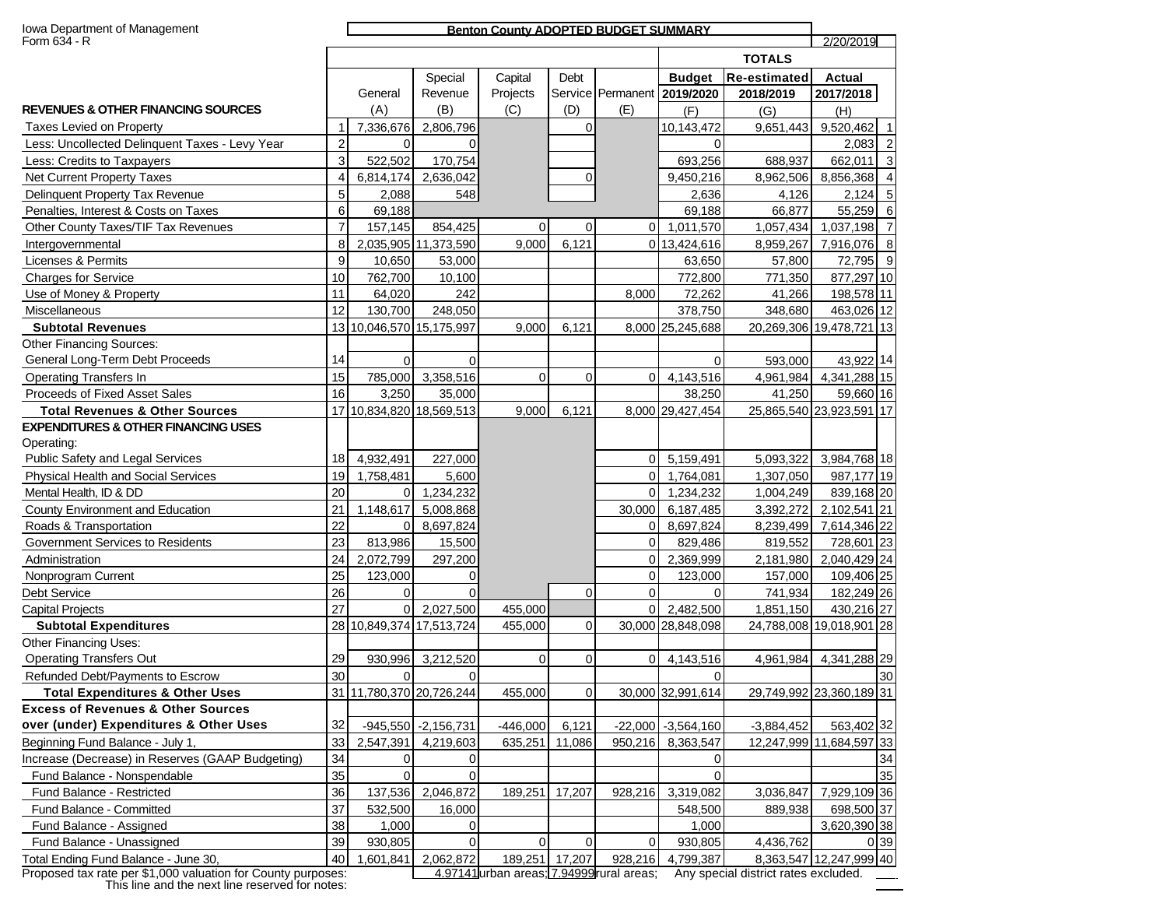| Iowa Department of Management<br>Form 634 - R    |                |                          |                       | <b>Benton County ADOPTED BUDGET SUMMARY</b> |             |          |                             |                     | 2/20/2019                |                |
|--------------------------------------------------|----------------|--------------------------|-----------------------|---------------------------------------------|-------------|----------|-----------------------------|---------------------|--------------------------|----------------|
|                                                  |                |                          |                       |                                             |             |          |                             | <b>TOTALS</b>       |                          |                |
|                                                  |                |                          | Special               | Capital                                     | Debt        |          | <b>Budget</b>               | <b>Re-estimated</b> | <b>Actual</b>            |                |
|                                                  |                | General                  | Revenue               | Projects                                    |             |          | Service Permanent 2019/2020 | 2018/2019           | 2017/2018                |                |
| <b>REVENUES &amp; OTHER FINANCING SOURCES</b>    |                | (A)                      | (B)                   | (C)                                         | (D)         | (E)      | (F)                         | (G)                 | (H)                      |                |
| Taxes Levied on Property                         |                | 7,336,676                | 2,806,796             |                                             | 0           |          | 10,143,472                  | 9,651,443           | 9,520,462                | $\overline{1}$ |
| Less: Uncollected Delinquent Taxes - Levy Year   | $\overline{2}$ | $\Omega$                 |                       |                                             |             |          | $\Omega$                    |                     | 2,083                    | $\overline{c}$ |
| Less: Credits to Taxpayers                       | 3              | 522,502                  | 170,754               |                                             |             |          | 693,256                     | 688,937             | 662,011 3                |                |
| <b>Net Current Property Taxes</b>                | 4              | 6,814,174                | 2,636,042             |                                             | 0           |          | 9,450,216                   | 8,962,506           | 8,856,368 4              |                |
| Delinquent Property Tax Revenue                  | 5              | 2,088                    | 548                   |                                             |             |          | 2,636                       | 4,126               | 2,124 5                  |                |
| Penalties, Interest & Costs on Taxes             | 6              | 69,188                   |                       |                                             |             |          | 69,188                      | 66,877              | 55,259 6                 |                |
| Other County Taxes/TIF Tax Revenues              | $\overline{7}$ | 157,145                  | 854,425               | $\Omega$                                    | 0           | $\Omega$ | 1,011,570                   | 1,057,434           | 1,037,198 7              |                |
| Intergovernmental                                | 8              |                          | 2,035,905 11,373,590  | 9,000                                       | 6,121       |          | 0 13,424,616                | 8,959,267           | 7,916,076 8              |                |
| Licenses & Permits                               | 9              | 10,650                   | 53,000                |                                             |             |          | 63,650                      | 57,800              | 72,795 9                 |                |
| <b>Charges for Service</b>                       | 10             | 762,700                  | 10,100                |                                             |             |          | 772,800                     | 771,350             | 877,297 10               |                |
| Use of Money & Property                          | 11             | 64,020                   | 242                   |                                             |             | 8,000    | 72,262                      | 41,266              | 198,578 11               |                |
| Miscellaneous                                    | 12             | 130,700                  | 248,050               |                                             |             |          | 378,750                     | 348,680             | 463,026 12               |                |
| <b>Subtotal Revenues</b>                         |                | 13 10,046,570 15,175,997 |                       | 9,000                                       | 6,121       |          | 8,000 25,245,688            |                     | 20,269,306 19,478,721 13 |                |
| Other Financing Sources:                         |                |                          |                       |                                             |             |          |                             |                     |                          |                |
| General Long-Term Debt Proceeds                  | 14             | $\mathbf 0$              | $\mathbf 0$           |                                             |             |          | 0                           | 593,000             | 43,922 14                |                |
| <b>Operating Transfers In</b>                    | 15             | 785,000                  | 3,358,516             | 0                                           | 0           | 0        | 4,143,516                   | 4,961,984           | 4,341,288 15             |                |
| Proceeds of Fixed Asset Sales                    | 16             | 3,250                    | 35,000                |                                             |             |          | 38,250                      | 41,250              | 59,660 16                |                |
| <b>Total Revenues &amp; Other Sources</b>        |                | 17 10,834,820 18,569,513 |                       | 9,000                                       | 6,121       |          | 8,000 29,427,454            |                     | 25,865,540 23,923,591 17 |                |
| <b>EXPENDITURES &amp; OTHER FINANCING USES</b>   |                |                          |                       |                                             |             |          |                             |                     |                          |                |
| Operating:                                       |                |                          |                       |                                             |             |          |                             |                     |                          |                |
| Public Safety and Legal Services                 | 18             | 4,932,491                | 227,000               |                                             |             | $\Omega$ | 5,159,491                   | 5,093,322           | 3,984,768 18             |                |
| Physical Health and Social Services              | 19             | 1,758,481                | 5,600                 |                                             |             | $\Omega$ | 1,764,081                   | 1,307,050           | 987,177 19               |                |
| Mental Health, ID & DD                           | 20             | $\overline{0}$           | 1,234,232             |                                             |             | $\Omega$ | 1,234,232                   | 1,004,249           | 839,168 20               |                |
| County Environment and Education                 | 21             | 1,148,617                | 5,008,868             |                                             |             | 30,000   | 6,187,485                   | 3,392,272           | 2,102,541 21             |                |
| Roads & Transportation                           | 22             | $\overline{0}$           | 8,697,824             |                                             |             | 0        | 8,697,824                   | 8,239,499           | 7,614,346 22             |                |
| Government Services to Residents                 | 23             | 813,986                  | 15,500                |                                             |             | $\Omega$ | 829,486                     | 819,552             | 728,601 23               |                |
| Administration                                   | 24             | 2,072,799                | 297,200               |                                             |             | 0        | 2,369,999                   | 2,181,980           | 2,040,429 24             |                |
| Nonprogram Current                               | 25             | 123,000                  | 0                     |                                             |             | $\Omega$ | 123,000                     | 157,000             | 109,406 25               |                |
| Debt Service                                     | 26             | $\Omega$                 | 0                     |                                             | $\mathbf 0$ | $\Omega$ | 0                           | 741,934             | 182,249 26               |                |
| <b>Capital Projects</b>                          | 27             | 0                        | 2,027,500             | 455,000                                     |             | $\Omega$ | 2,482,500                   | 1,851,150           | 430,216 27               |                |
| <b>Subtotal Expenditures</b>                     |                | 28 10,849,374 17,513,724 |                       | 455,000                                     | $\mathbf 0$ |          | 30,000 28,848,098           |                     | 24,788,008 19,018,901 28 |                |
| Other Financing Uses:                            |                |                          |                       |                                             |             |          |                             |                     |                          |                |
| <b>Operating Transfers Out</b>                   | 29             | 930,996                  | 3,212,520             | $\mathbf 0$                                 | 0           | 0        | 4,143,516                   | 4,961,984           | 4,341,288 29             |                |
| Refunded Debt/Payments to Escrow                 | 30             | $\overline{0}$           | 0                     |                                             |             |          | 0                           |                     |                          | 30             |
| <b>Total Expenditures &amp; Other Uses</b>       |                | 31 11,780,370 20,726,244 |                       | 455,000                                     | 0           |          | 30,000 32,991,614           |                     | 29,749,992 23,360,189 31 |                |
| <b>Excess of Revenues &amp; Other Sources</b>    |                |                          |                       |                                             |             |          |                             |                     |                          |                |
| over (under) Expenditures & Other Uses           | 32             |                          | $-945,550 -2,156,731$ | $-446,000$                                  | 6,121       |          | $-22,000$ $-3,564,160$      | $-3,884,452$        | 563,402 32               |                |
| Beginning Fund Balance - July 1,                 | 33             | 2,547,391                | 4,219,603             | 635,251                                     | 11,086      | 950,216  | 8,363,547                   |                     | 12,247,999 11,684,597 33 |                |
| Increase (Decrease) in Reserves (GAAP Budgeting) | 34             | $\overline{0}$           | 0                     |                                             |             |          | 0                           |                     |                          | 34             |
| Fund Balance - Nonspendable                      | 35             | $\Omega$                 | $\Omega$              |                                             |             |          |                             |                     |                          | 35             |
| Fund Balance - Restricted                        | 36             | 137,536                  | 2,046,872             | 189,251                                     | 17,207      |          | 928,216 3,319,082           | 3,036,847           | 7,929,109 36             |                |
| Fund Balance - Committed                         | 37             | 532,500                  | 16,000                |                                             |             |          | 548,500                     | 889,938             | 698,500 37               |                |
| Fund Balance - Assigned                          | 38             | 1,000                    | 0                     |                                             |             |          | 1,000                       |                     | 3,620,390 38             |                |
| Fund Balance - Unassigned                        | 39             | 930,805                  | 0                     | $\overline{0}$                              | 0           | 0        | 930,805                     | 4,436,762           |                          | 0 39           |
| Total Ending Fund Balance - June 30,             | 40             | 1,601,841                | 2,062,872             | 189,251 17,207                              |             |          | 928,216 4,799,387           |                     | 8,363,547 12,247,999 40  |                |

Proposed tax rate per \$1,000 valuation for County purposes:<br>This line and the next line reserved for notes:

**Proposed tax 1,000 values** 1,000 values: 4.97141 urban areas; 7.94999 rural areas; Any special district rates excluded.

..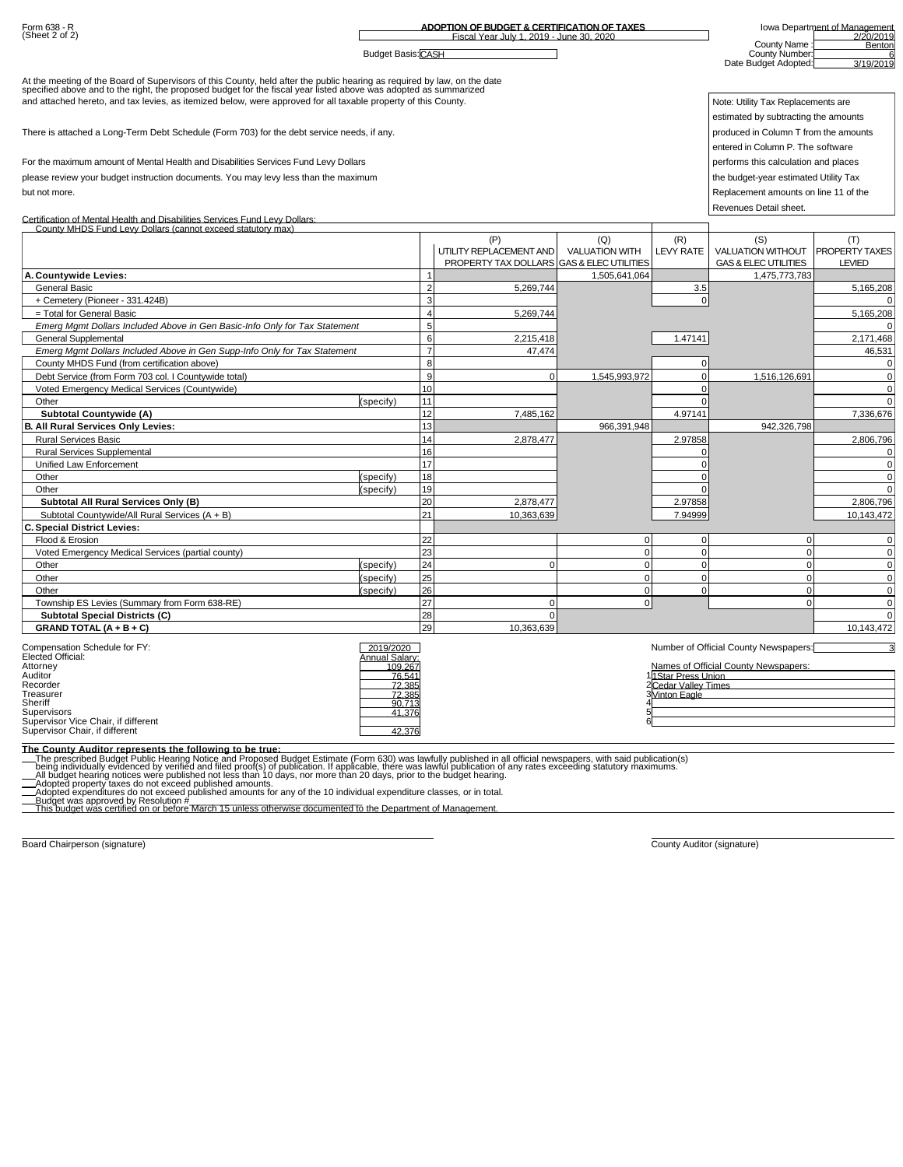| Form 638 - R<br>(Sheet 2 of 2)                                                                                                                                                                                                    |                             |                | ADOPTION OF BUDGET & CERTIFICATION OF TAXES |                                 |                                             | Iowa Department of Management<br>2/20/2019 |                            |  |  |
|-----------------------------------------------------------------------------------------------------------------------------------------------------------------------------------------------------------------------------------|-----------------------------|----------------|---------------------------------------------|---------------------------------|---------------------------------------------|--------------------------------------------|----------------------------|--|--|
|                                                                                                                                                                                                                                   |                             |                | Fiscal Year July 1, 2019 - June 30, 2020    |                                 |                                             | County Name                                | Benton                     |  |  |
|                                                                                                                                                                                                                                   | <b>Budget Basis: CASH</b>   |                |                                             |                                 |                                             | County Number:<br>Date Budget Adopted:     | 3/19/2019                  |  |  |
|                                                                                                                                                                                                                                   |                             |                |                                             |                                 |                                             |                                            |                            |  |  |
| At the meeting of the Board of Supervisors of this County, held after the public hearing as required by law, on the date<br>specified above and to the right, the proposed budget for the fiscal year listed above was adopted as |                             |                |                                             |                                 |                                             |                                            |                            |  |  |
| and attached hereto, and tax levies, as itemized below, were approved for all taxable property of this County.                                                                                                                    |                             |                |                                             |                                 |                                             | Note: Utility Tax Replacements are         |                            |  |  |
|                                                                                                                                                                                                                                   |                             |                |                                             |                                 |                                             | estimated by subtracting the amounts       |                            |  |  |
| There is attached a Long-Term Debt Schedule (Form 703) for the debt service needs, if any.                                                                                                                                        |                             |                |                                             |                                 |                                             | produced in Column T from the amounts      |                            |  |  |
|                                                                                                                                                                                                                                   |                             |                |                                             |                                 |                                             | entered in Column P. The software          |                            |  |  |
| For the maximum amount of Mental Health and Disabilities Services Fund Levy Dollars                                                                                                                                               |                             |                |                                             |                                 |                                             | performs this calculation and places       |                            |  |  |
| please review your budget instruction documents. You may levy less than the maximum                                                                                                                                               |                             |                |                                             |                                 |                                             | the budget-year estimated Utility Tax      |                            |  |  |
|                                                                                                                                                                                                                                   |                             |                |                                             |                                 |                                             |                                            |                            |  |  |
| but not more.                                                                                                                                                                                                                     |                             |                |                                             |                                 |                                             | Replacement amounts on line 11 of the      |                            |  |  |
| Certification of Mental Health and Disabilities Services Fund Levy Dollars:                                                                                                                                                       |                             |                |                                             |                                 |                                             | Revenues Detail sheet.                     |                            |  |  |
| County MHDS Fund Levy Dollars (cannot exceed statutory max)                                                                                                                                                                       |                             |                |                                             |                                 |                                             |                                            |                            |  |  |
|                                                                                                                                                                                                                                   |                             |                | (P)                                         | (Q)                             | (R)                                         | (S)                                        | (T)                        |  |  |
|                                                                                                                                                                                                                                   |                             |                | UTILITY REPLACEMENT AND                     | <b>VALUATION WITH</b>           | LEVY RATE                                   | <b>VALUATION WITHOUT</b>                   | PROPERTY TAXES             |  |  |
|                                                                                                                                                                                                                                   |                             |                | PROPERTY TAX DOLLARS                        | <b>GAS &amp; ELEC UTILITIES</b> |                                             | <b>GAS &amp; ELEC UTILITIES</b>            | <b>LEVIED</b>              |  |  |
| A. Countywide Levies:<br><b>General Basic</b>                                                                                                                                                                                     |                             | $\mathcal{D}$  | 5,269,744                                   | 1,505,641,064                   |                                             | 1,475,773,783                              |                            |  |  |
| + Cemetery (Pioneer - 331.424B)                                                                                                                                                                                                   |                             |                |                                             |                                 | 3.5<br>$\mathbf 0$                          |                                            | 5,165,208                  |  |  |
| = Total for General Basic                                                                                                                                                                                                         |                             | $\Delta$       | 5,269,744                                   |                                 |                                             |                                            | 5,165,208                  |  |  |
| Emerg Mgmt Dollars Included Above in Gen Basic-Info Only for Tax Statement                                                                                                                                                        |                             | 5              |                                             |                                 |                                             |                                            |                            |  |  |
| <b>General Supplemental</b>                                                                                                                                                                                                       |                             | 6              | 2,215,418                                   |                                 | 1.47141                                     |                                            | 2,171,468                  |  |  |
| Emerg Mgmt Dollars Included Above in Gen Supp-Info Only for Tax Statement                                                                                                                                                         |                             | $\overline{7}$ | 47.474                                      |                                 |                                             |                                            | 46,531                     |  |  |
| County MHDS Fund (from certification above)                                                                                                                                                                                       |                             | 8              |                                             |                                 | $\mathbf 0$                                 |                                            | $\Omega$                   |  |  |
| Debt Service (from Form 703 col. I Countywide total)                                                                                                                                                                              |                             | 9              | $\mathbf 0$                                 | 1,545,993,972                   | $\mathbf 0$                                 | 1,516,126,691                              | $\Omega$                   |  |  |
| Voted Emergency Medical Services (Countywide)                                                                                                                                                                                     |                             | 10             |                                             |                                 | $\Omega$                                    |                                            | $\mathbf 0$                |  |  |
| Other                                                                                                                                                                                                                             | specify)                    | 11             |                                             |                                 | U                                           |                                            | $\Omega$                   |  |  |
| <b>Subtotal Countywide (A)</b>                                                                                                                                                                                                    |                             | 12             | 7,485,162                                   |                                 | 4.97141                                     |                                            | 7,336,676                  |  |  |
| All Rural Services Only Levies:                                                                                                                                                                                                   |                             | 13             |                                             | 966,391,948                     |                                             | 942,326,798                                |                            |  |  |
| <b>Rural Services Basic</b>                                                                                                                                                                                                       |                             | 14<br>16       | 2,878,477                                   |                                 | 2.97858                                     |                                            | 2,806,796                  |  |  |
| <b>Rural Services Supplemental</b><br>Unified Law Enforcement                                                                                                                                                                     |                             | 17             |                                             |                                 | $\Omega$<br>$\Omega$                        |                                            | $\Omega$<br>$\Omega$       |  |  |
| Other                                                                                                                                                                                                                             | specify)                    | 18             |                                             |                                 | $\Omega$                                    |                                            | $\Omega$                   |  |  |
| Other                                                                                                                                                                                                                             | specify)                    | 19             |                                             |                                 | $\Omega$                                    |                                            | $\Omega$                   |  |  |
| Subtotal All Rural Services Only (B)                                                                                                                                                                                              |                             | 20             | 2,878,477                                   |                                 | 2.97858                                     |                                            | 2,806,796                  |  |  |
| Subtotal Countywide/All Rural Services (A + B)                                                                                                                                                                                    |                             | 21             | 10,363,639                                  |                                 | 7.94999                                     |                                            | 10,143,472                 |  |  |
| <b>Special District Levies:</b>                                                                                                                                                                                                   |                             |                |                                             |                                 |                                             |                                            |                            |  |  |
| Flood & Erosion                                                                                                                                                                                                                   |                             | 22             |                                             | $\mathbf 0$                     | $\mathbf 0$                                 | $\Omega$                                   | $\Omega$                   |  |  |
| Voted Emergency Medical Services (partial county)                                                                                                                                                                                 |                             | 23             |                                             | $\overline{0}$                  | $\Omega$                                    | $\Omega$                                   | $\mathbf 0$                |  |  |
| Other                                                                                                                                                                                                                             | specify)                    | 24             | $\Omega$                                    | $\Omega$                        | $\Omega$                                    | $\Omega$                                   | $\mathbf 0$                |  |  |
| Other                                                                                                                                                                                                                             | specify)                    | 25             |                                             | $\Omega$                        | $\mathbf 0$                                 | $\Omega$                                   | $\mathbf 0$                |  |  |
| Other                                                                                                                                                                                                                             | (specify)                   | 26<br>27       | $\mathbf 0$                                 | $\mathbf{0}$<br>$\mathbf 0$     | $\mathbf 0$                                 | $\Omega$<br>$\Omega$                       | $\mathbf 0$<br>$\mathbf 0$ |  |  |
| Township ES Levies (Summary from Form 638-RE)<br><b>Subtotal Special Districts (C)</b>                                                                                                                                            |                             | 28             | $\mathbf 0$                                 |                                 |                                             |                                            | $\Omega$                   |  |  |
| GRAND TOTAL $(A + B + C)$                                                                                                                                                                                                         |                             | 29             | 10,363,639                                  |                                 |                                             |                                            | 10,143,472                 |  |  |
|                                                                                                                                                                                                                                   |                             |                |                                             |                                 |                                             |                                            |                            |  |  |
| Compensation Schedule for FY:<br>Elected Official:                                                                                                                                                                                | 2019/2020<br>Annual Salarv: |                |                                             |                                 |                                             | Number of Official County Newspapers:      |                            |  |  |
| Attorney                                                                                                                                                                                                                          | 109.267                     |                |                                             |                                 |                                             | Names of Official County Newspapers:       |                            |  |  |
| Auditor<br>Recorde                                                                                                                                                                                                                | 76.541                      |                |                                             |                                 | 11Star Press Union                          |                                            |                            |  |  |
| Treasurer                                                                                                                                                                                                                         | 72.385                      |                |                                             |                                 | <u>ZCedar Vallev Times</u><br>3Vinton Eagle |                                            |                            |  |  |
| Sheriff<br>Supervisors                                                                                                                                                                                                            | 90.713<br>41.376            |                |                                             |                                 |                                             |                                            |                            |  |  |
| Supervisor Vice Chair, if different                                                                                                                                                                                               |                             |                |                                             | 6                               |                                             |                                            |                            |  |  |
| Supervisor Chair, if different                                                                                                                                                                                                    | 42.376                      |                |                                             |                                 |                                             |                                            |                            |  |  |
| The County Auditor represents the following to be true:                                                                                                                                                                           |                             |                |                                             |                                 |                                             |                                            |                            |  |  |
| The prescribed Budget Public Hearing Notice and Proposed Budget Estimate (Form 630) was lawfully published in all official newspapers, with said publication(s)<br>being individually evidenced by verified and filed proof(s) o  |                             |                |                                             |                                 |                                             |                                            |                            |  |  |
|                                                                                                                                                                                                                                   |                             |                |                                             |                                 |                                             |                                            |                            |  |  |
|                                                                                                                                                                                                                                   |                             |                |                                             |                                 |                                             |                                            |                            |  |  |
| This budget was certified on or before March 15 unless otherwise documented to the Department of Management.                                                                                                                      |                             |                |                                             |                                 |                                             |                                            |                            |  |  |
|                                                                                                                                                                                                                                   |                             |                |                                             |                                 |                                             |                                            |                            |  |  |

Board Chairperson (signature) **County Auditor (signature)** County Auditor (signature) **County Auditor (signature)**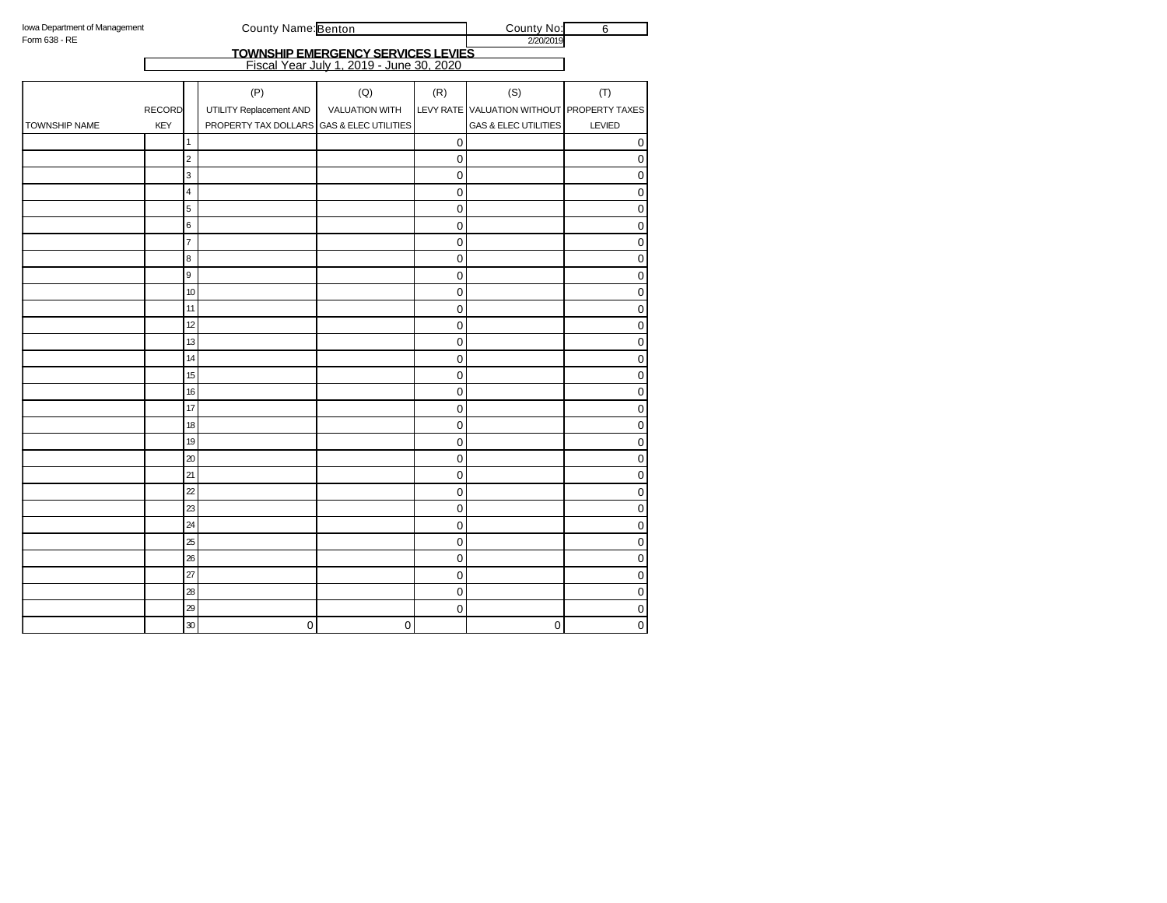| Iowa Department of Management |                |                  | County Name: Benton                       |                                                                                | County No:  | $\overline{6}$                             |                         |
|-------------------------------|----------------|------------------|-------------------------------------------|--------------------------------------------------------------------------------|-------------|--------------------------------------------|-------------------------|
| Form 638 - RE                 |                |                  |                                           |                                                                                |             | 2/20/2019                                  |                         |
|                               |                |                  |                                           | TOWNSHIP EMERGENCY SERVICES LEVIES<br>Fiscal Year July 1, 2019 - June 30, 2020 |             |                                            |                         |
|                               |                |                  |                                           |                                                                                |             |                                            |                         |
|                               |                |                  | (P)                                       | (Q)                                                                            | (R)         | (S)                                        | (T)                     |
|                               | <b>RECORD</b>  |                  | UTILITY Replacement AND                   | <b>VALUATION WITH</b>                                                          |             | LEVY RATE VALUATION WITHOUT PROPERTY TAXES |                         |
| TOWNSHIP NAME                 | <b>KEY</b>     |                  | PROPERTY TAX DOLLARS GAS & ELEC UTILITIES |                                                                                |             | <b>GAS &amp; ELEC UTILITIES</b>            | LEVIED                  |
|                               | $\mathbf{1}$   |                  |                                           |                                                                                | 0           |                                            | $\mathbf 0$             |
|                               | 2              |                  |                                           |                                                                                | 0           |                                            | 0                       |
|                               |                | 3                |                                           |                                                                                | 0           |                                            | $\mathbf 0$             |
|                               |                | 4                |                                           |                                                                                | 0           |                                            | $\mathbf 0$             |
|                               | 5              |                  |                                           |                                                                                | $\mathsf 0$ |                                            | $\mathbf 0$             |
|                               | 6              |                  |                                           |                                                                                | 0           |                                            | $\overline{0}$          |
|                               | $\overline{7}$ |                  |                                           |                                                                                | 0           |                                            | $\mathbf 0$             |
|                               | 8              |                  |                                           |                                                                                | 0           |                                            | $\pmb{0}$               |
|                               | 9              |                  |                                           |                                                                                | $\mathbf 0$ |                                            | $\mathbf 0$             |
|                               |                | 10               |                                           |                                                                                | 0           |                                            | $\pmb{0}$               |
|                               |                | 11               |                                           |                                                                                | 0           |                                            | $\mathbf 0$             |
|                               |                | 12               |                                           |                                                                                | 0           |                                            | $\pmb{0}$               |
|                               |                | 13               |                                           |                                                                                | 0           |                                            | $\pmb{0}$               |
|                               |                | 14               |                                           |                                                                                | 0           |                                            | $\pmb{0}$               |
|                               |                | 15               |                                           |                                                                                | 0           |                                            | $\pmb{0}$               |
|                               |                | 16               |                                           |                                                                                | 0           |                                            | $\mathbf 0$             |
|                               |                | 17               |                                           |                                                                                | 0           |                                            | $\pmb{0}$               |
|                               |                | 18               |                                           |                                                                                | 0           |                                            | $\overline{\textbf{0}}$ |
|                               |                | 19               |                                           |                                                                                | 0           |                                            | $\pmb{0}$               |
|                               |                | 20               |                                           |                                                                                | 0           |                                            | $\mathbf 0$             |
|                               |                | 21               |                                           |                                                                                | 0           |                                            | $\mathbf 0$             |
|                               |                | $\boldsymbol{z}$ |                                           |                                                                                | 0           |                                            | $\pmb{0}$               |
|                               |                | 23               |                                           |                                                                                | 0           |                                            | $\mathbf 0$             |
|                               |                | 24               |                                           |                                                                                | 0           |                                            | $\pmb{0}$               |
|                               |                | 25               |                                           |                                                                                | 0           |                                            | $\pmb{0}$               |
|                               |                | 26               |                                           |                                                                                | 0           |                                            | $\pmb{0}$               |
|                               |                | 27               |                                           |                                                                                | 0           |                                            | $\mathbf 0$             |
|                               |                | 28               |                                           |                                                                                | 0           |                                            | $\mathbf 0$             |
|                               |                | 29               |                                           |                                                                                | 0           |                                            | $\pmb{0}$               |
|                               |                | 30               | 0                                         | 0                                                                              |             | 0                                          | $\mathbf 0$             |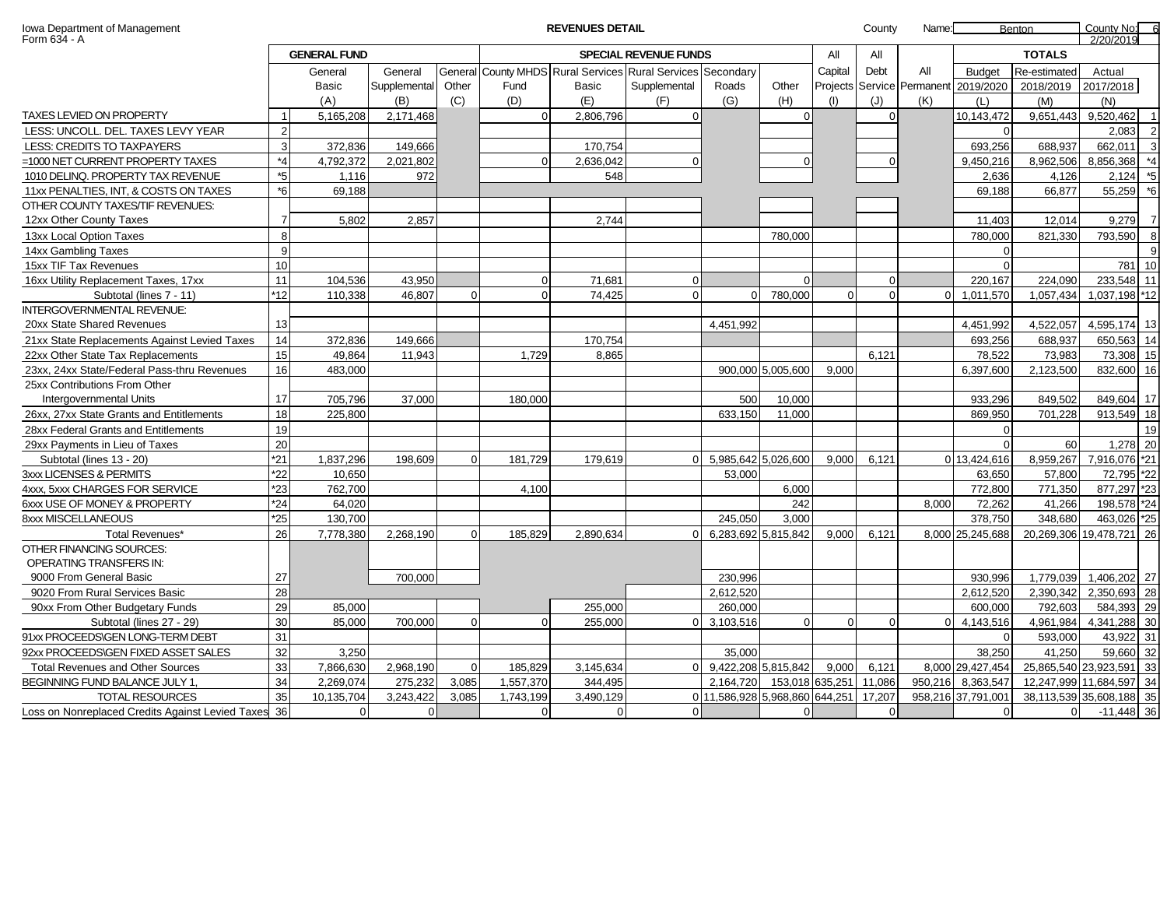| REVENUES DETAIL |  |
|-----------------|--|
|                 |  |

| County No: |  |
|------------|--|
| 0/20/2040  |  |

| Form 634 - A                                     |                |                     |              |          |           |                                                             |                              |                                |                     |          |          |                            |                    |                | 2/20/2019                |                |
|--------------------------------------------------|----------------|---------------------|--------------|----------|-----------|-------------------------------------------------------------|------------------------------|--------------------------------|---------------------|----------|----------|----------------------------|--------------------|----------------|--------------------------|----------------|
|                                                  |                | <b>GENERAL FUND</b> |              |          |           |                                                             | <b>SPECIAL REVENUE FUNDS</b> |                                |                     | All      | All      |                            |                    | <b>TOTALS</b>  |                          |                |
|                                                  |                | General             | General      |          |           | General County MHDS Rural Services Rural Services Secondary |                              |                                |                     | Capital  | Debt     | All                        | <b>Budget</b>      | Re-estimated   | Actual                   |                |
|                                                  |                | <b>Basic</b>        | Supplemental | Other    | Fund      | Basic                                                       | Supplemental                 | Roads                          | Other               |          |          | Projects Service Permanent | 2019/2020          | 2018/2019      | 2017/2018                |                |
|                                                  |                | (A)                 | (B)          | (C)      | (D)       | (E)                                                         | (F)                          | (G)                            | (H)                 | (I)      | (J)      | (K)                        | (L)                | (M)            | (N)                      |                |
| TAXES LEVIED ON PROPERTY                         |                | 5,165,208           | 2,171,468    |          | $\Omega$  | 2,806,796                                                   | $\Omega$                     |                                | $\mathbf 0$         |          | $\Omega$ |                            | 10,143,472         | 9,651,443      | 9,520,462                | $\overline{1}$ |
| LESS: UNCOLL. DEL. TAXES LEVY YEAR               | $\overline{2}$ |                     |              |          |           |                                                             |                              |                                |                     |          |          |                            | $\Omega$           |                | 2.083                    | $\overline{2}$ |
| LESS: CREDITS TO TAXPAYERS                       | $\mathcal{B}$  | 372.836             | 149.666      |          |           | 170.754                                                     |                              |                                |                     |          |          |                            | 693.256            | 688.937        | 662.011                  | $\overline{3}$ |
| =1000 NET CURRENT PROPERTY TAXES                 | $*_{4}$        | 4,792,372           | 2.021.802    |          | $\Omega$  | 2,636,042                                                   | $\Omega$                     |                                | $\Omega$            |          |          |                            | 9.450.216          | 8,962,506      | 8,856,368                | $*_{4}$        |
| 1010 DELINQ. PROPERTY TAX REVENUE                | $*5$           | 1.116               | 972          |          |           | 548                                                         |                              |                                |                     |          |          |                            | 2.636              | 4.126          | 2.124                    | $*_{5}$        |
| 11xx PENALTIES, INT, & COSTS ON TAXES            | $*6$           | 69.188              |              |          |           |                                                             |                              |                                |                     |          |          |                            | 69.188             | 66.877         | 55,259                   | $^{\ast}6$     |
| OTHER COUNTY TAXES/TIF REVENUES:                 |                |                     |              |          |           |                                                             |                              |                                |                     |          |          |                            |                    |                |                          |                |
| 12xx Other County Taxes                          | $\overline{7}$ | 5,802               | 2,857        |          |           | 2,744                                                       |                              |                                |                     |          |          |                            | 11,403             | 12,014         | 9,279                    | $\overline{7}$ |
| 13xx Local Option Taxes                          | $\mathsf{R}$   |                     |              |          |           |                                                             |                              |                                | 780,000             |          |          |                            | 780,000            | 821,330        | 793,590                  | 8              |
| 14xx Gambling Taxes                              | $\mathbf{q}$   |                     |              |          |           |                                                             |                              |                                |                     |          |          |                            | $\Omega$           |                |                          | 9              |
| 15xx TIF Tax Revenues                            | 10             |                     |              |          |           |                                                             |                              |                                |                     |          |          |                            | $\Omega$           |                | 781 10                   |                |
| 16xx Utility Replacement Taxes, 17xx             | 11             | 104,536             | 43,950       |          | $\Omega$  | 71.681                                                      | $\Omega$                     |                                | $\Omega$            |          | $\Omega$ |                            | 220.167            | 224,090        | 233,548 11               |                |
| Subtotal (lines 7 - 11)                          | *12            | 110.338             | 46,807       | $\Omega$ | $\Omega$  | 74,425                                                      | $\Omega$                     | $\Omega$                       | 780,000             | $\Omega$ | $\Omega$ |                            | 1,011,570          | 1.057.434      | 1,037,198 *12            |                |
| <b>INTERGOVERNMENTAL REVENUE:</b>                |                |                     |              |          |           |                                                             |                              |                                |                     |          |          |                            |                    |                |                          |                |
| 20xx State Shared Revenues                       | 13             |                     |              |          |           |                                                             |                              | 4,451,992                      |                     |          |          |                            | 4,451,992          | 4,522,057      | 4,595,174 13             |                |
| 21xx State Replacements Against Levied Taxes     | 14             | 372,836             | 149,666      |          |           | 170,754                                                     |                              |                                |                     |          |          |                            | 693,256            | 688,937        | 650,563 14               |                |
| 22xx Other State Tax Replacements                | 15             | 49,864              | 11,943       |          | 1,729     | 8,865                                                       |                              |                                |                     |          | 6.121    |                            | 78,522             | 73,983         | 73,308 15                |                |
| 23xx, 24xx State/Federal Pass-thru Revenues      | 16             | 483.000             |              |          |           |                                                             |                              |                                | 900,000 5,005,600   | 9.000    |          |                            | 6.397.600          | 2.123.500      | 832,600 16               |                |
| 25xx Contributions From Other                    |                |                     |              |          |           |                                                             |                              |                                |                     |          |          |                            |                    |                |                          |                |
| Intergovernmental Units                          | 17             | 705,796             | 37.000       |          | 180,000   |                                                             |                              | 500                            | 10,000              |          |          |                            | 933,296            | 849,502        | 849,604 17               |                |
| 26xx, 27xx State Grants and Entitlements         | 18             | 225,800             |              |          |           |                                                             |                              | 633,150                        | 11,000              |          |          |                            | 869,950            | 701,228        | 913,549 18               |                |
| 28xx Federal Grants and Entitlements             | 19             |                     |              |          |           |                                                             |                              |                                |                     |          |          |                            | $\Omega$           |                |                          | 19             |
| 29xx Payments in Lieu of Taxes                   | 20             |                     |              |          |           |                                                             |                              |                                |                     |          |          |                            | $\Omega$           | 60             | 1,278 20                 |                |
| Subtotal (lines 13 - 20)                         | $*21$          | 1,837,296           | 198,609      |          | 181,729   | 179,619                                                     | $\Omega$                     | 5,985,642 5,026,600            |                     | 9,000    | 6,121    |                            | 0 13,424,616       | 8,959,267      | 7,916,076 *21            |                |
| 3xxx LICENSES & PERMITS                          | *22            | 10.650              |              |          |           |                                                             |                              | 53.000                         |                     |          |          |                            | 63.650             | 57.800         | 72,795 *22               |                |
| 4xxx. 5xxx CHARGES FOR SERVICE                   | *23            | 762.700             |              |          | 4.100     |                                                             |                              |                                | 6,000               |          |          |                            | 772.800            | 771,350        | 877,297 *23              |                |
| 6xxx USE OF MONEY & PROPERTY                     | $*24$          | 64.020              |              |          |           |                                                             |                              |                                | 242                 |          |          | 8.000                      | 72,262             | 41,266         | 198,578 *24              |                |
| 8xxx MISCELLANEOUS                               | 25             | 130,700             |              |          |           |                                                             |                              | 245,050                        | 3,000               |          |          |                            | 378,750            | 348,680        | 463,026 *25              |                |
| Total Revenues*                                  | 26             | 7,778,380           | 2,268,190    | $\Omega$ | 185,829   | 2,890,634                                                   | $\Omega$                     |                                | 6,283,692 5,815,842 | 9.000    | 6.121    |                            | 8,000 25,245,688   |                | 20,269,306 19,478,721 26 |                |
| OTHER FINANCING SOURCES:                         |                |                     |              |          |           |                                                             |                              |                                |                     |          |          |                            |                    |                |                          |                |
| OPERATING TRANSFERS IN:                          |                |                     |              |          |           |                                                             |                              |                                |                     |          |          |                            |                    |                |                          |                |
| 9000 From General Basic                          | 27             |                     | 700.000      |          |           |                                                             |                              | 230,996                        |                     |          |          |                            | 930.996            | 1,779,039      | 1,406,202 27             |                |
| 9020 From Rural Services Basic                   | 28             |                     |              |          |           |                                                             |                              | 2,612,520                      |                     |          |          |                            | 2,612,520          | 2,390,342      | 2,350,693 28             |                |
| 90xx From Other Budgetary Funds                  | 29             | 85.000              |              |          |           | 255.000                                                     |                              | 260,000                        |                     |          |          |                            | 600.000            | 792.603        | 584,393 29               |                |
| Subtotal (lines 27 - 29)                         | 30             | 85,000              | 700,000      | $\Omega$ | $\Omega$  | 255,000                                                     | $\Omega$                     | 3,103,516                      | $\Omega$            | $\Omega$ | $\Omega$ |                            | 4,143,516          | 4,961,984      | 4,341,288 30             |                |
| 91xx PROCEEDS\GEN LONG-TERM DEBT                 | 31             |                     |              |          |           |                                                             |                              |                                |                     |          |          |                            | $\Omega$           | 593,000        | 43,922                   | 31             |
| 92xx PROCEEDS\GEN FIXED ASSET SALES              | 32             | 3.250               |              |          |           |                                                             |                              | 35,000                         |                     |          |          |                            | 38,250             | 41.250         | 59,660 32                |                |
| <b>Total Revenues and Other Sources</b>          | 33             | 7,866,630           | 2,968,190    | $\Omega$ | 185,829   | 3,145,634                                                   | $\overline{0}$               | 9,422,208 5,815,842            |                     | 9,000    | 6,121    |                            | 8,000 29,427,454   |                | 25,865,540 23,923,591 33 |                |
| BEGINNING FUND BALANCE JULY 1,                   | 34             | 2,269,074           | 275,232      | 3,085    | 1,557,370 | 344,495                                                     |                              | 2,164,720                      | 153,018 635,251     |          | 11,086   |                            | 950,216 8,363,547  |                | 12,247,999 11,684,597 34 |                |
| <b>TOTAL RESOURCES</b>                           | 35             | 10.135.704          | 3.243.422    | 3.085    | 1,743,199 | 3.490.129                                                   |                              | 0 11,586,928 5,968,860 644,251 |                     |          | 17.207   |                            | 958,216 37,791,001 |                | 38,113,539 35,608,188 35 |                |
| Loss on Nonreplaced Credits Against Levied Taxes | 36             | $\Omega$            | U            |          | $\Omega$  | $\Omega$                                                    | $\Omega$                     |                                | $\Omega$            |          | $\Omega$ |                            | $\Omega$           | $\overline{0}$ | $-11.448$ 36             |                |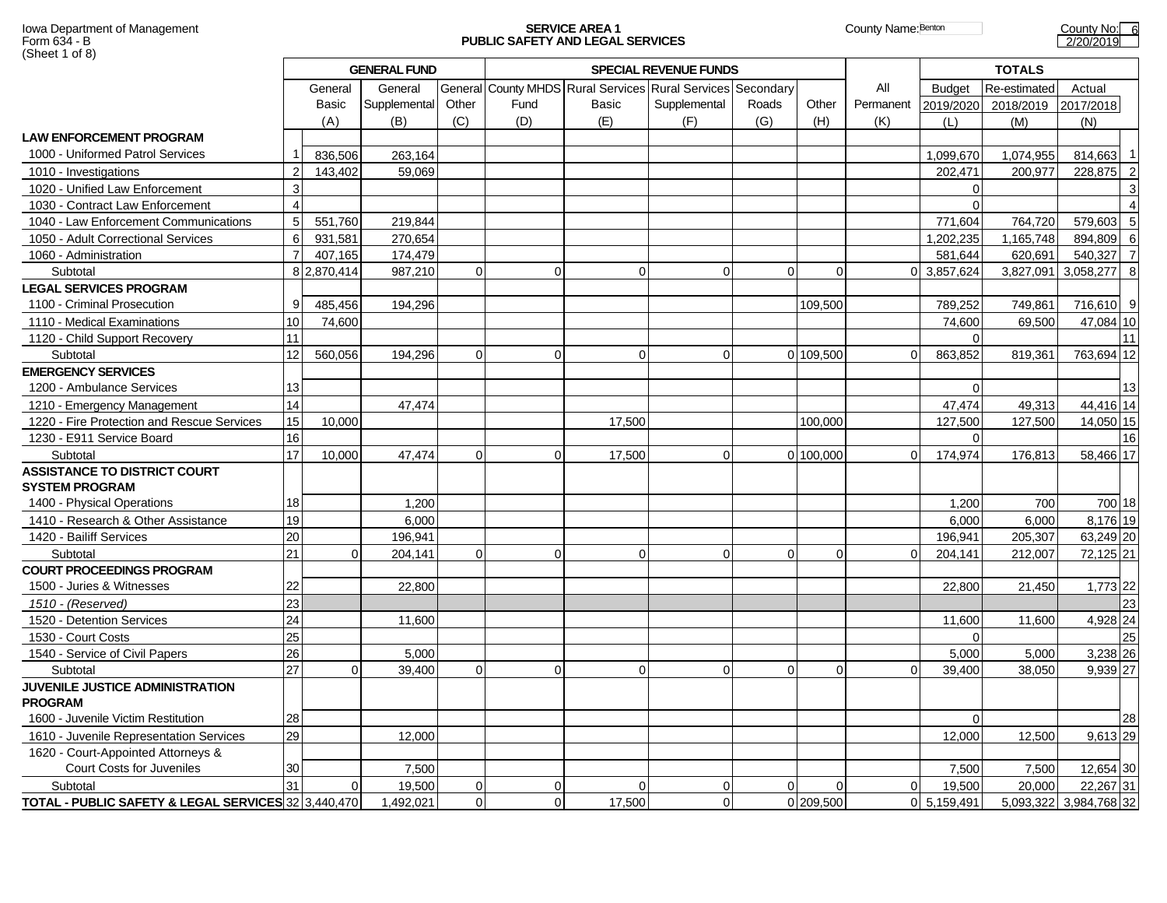# Iowa Department of Management **SERVICE AREA 1 SERVICE AREA 1 County Name:**Benton County Name:Benton County No: 6

|                                                              |                 |                | <b>GENERAL FUND</b> |          |          |                                                             | <b>SPECIAL REVENUE FUNDS</b> |             |           |           |               | <b>TOTALS</b> |              |                |
|--------------------------------------------------------------|-----------------|----------------|---------------------|----------|----------|-------------------------------------------------------------|------------------------------|-------------|-----------|-----------|---------------|---------------|--------------|----------------|
|                                                              |                 | General        | General             |          |          | General County MHDS Rural Services Rural Services Secondary |                              |             |           | All       | <b>Budget</b> | Re-estimated  | Actual       |                |
|                                                              |                 | Basic          | Supplemental        | Other    | Fund     | Basic                                                       | Supplemental                 | Roads       | Other     | Permanent | 2019/2020     | 2018/2019     | 2017/2018    |                |
|                                                              |                 | (A)            | (B)                 | (C)      | (D)      | (E)                                                         | (F)                          | (G)         | (H)       | (K)       | (L)           | (M)           | (N)          |                |
| <b>LAW ENFORCEMENT PROGRAM</b>                               |                 |                |                     |          |          |                                                             |                              |             |           |           |               |               |              |                |
| 1000 - Uniformed Patrol Services                             |                 | 836.506        | 263.164             |          |          |                                                             |                              |             |           |           | 1.099.670     | 1.074.955     | 814.663      |                |
| 1010 - Investigations                                        | $\overline{2}$  | 143,402        | 59,069              |          |          |                                                             |                              |             |           |           | 202,471       | 200,977       | 228,875 2    |                |
| 1020 - Unified Law Enforcement                               | $\mathsf 3$     |                |                     |          |          |                                                             |                              |             |           |           | $\Omega$      |               |              | 3              |
| 1030 - Contract Law Enforcement                              | $\overline{4}$  |                |                     |          |          |                                                             |                              |             |           |           | 0             |               |              | $\overline{4}$ |
| 1040 - Law Enforcement Communications                        | $\overline{5}$  | 551,760        | 219,844             |          |          |                                                             |                              |             |           |           | 771,604       | 764,720       | 579,603      | 5              |
| 1050 - Adult Correctional Services                           | 6               | 931,581        | 270.654             |          |          |                                                             |                              |             |           |           | 1,202,235     | 1,165,748     | 894.809      | - 6            |
| 1060 - Administration                                        | $\overline{7}$  | 407,165        | 174,479             |          |          |                                                             |                              |             |           |           | 581,644       | 620,691       | 540.327      | $\overline{7}$ |
| Subtotal                                                     |                 | 8 2,870,414    | 987,210             | $\Omega$ | $\Omega$ | $\Omega$                                                    | $\Omega$                     | $\Omega$    | $\Omega$  |           | 3.857.624     | 3.827.091     | 3,058,277 8  |                |
| <b>LEGAL SERVICES PROGRAM</b>                                |                 |                |                     |          |          |                                                             |                              |             |           |           |               |               |              |                |
| 1100 - Criminal Prosecution                                  | 9               | 485,456        | 194,296             |          |          |                                                             |                              |             | 109,500   |           | 789,252       | 749,861       | 716,610 9    |                |
| 1110 - Medical Examinations                                  | 10              | 74,600         |                     |          |          |                                                             |                              |             |           |           | 74.600        | 69.500        | 47,084 10    |                |
| 1120 - Child Support Recovery                                | 11              |                |                     |          |          |                                                             |                              |             |           |           | $\Omega$      |               |              | 11             |
| Subtotal                                                     | 12              | 560,056        | 194,296             | $\Omega$ | $\Omega$ | $\Omega$                                                    | $\Omega$                     |             | 0 109,500 |           | 863,852       | 819,361       | 763,694 12   |                |
| <b>EMERGENCY SERVICES</b>                                    |                 |                |                     |          |          |                                                             |                              |             |           |           |               |               |              |                |
| 1200 - Ambulance Services                                    | 13              |                |                     |          |          |                                                             |                              |             |           |           | U             |               |              | 13             |
| 1210 - Emergency Management                                  | 14              |                | 47,474              |          |          |                                                             |                              |             |           |           | 47.474        | 49,313        | 44,416 14    |                |
| 1220 - Fire Protection and Rescue Services                   | 15              | 10,000         |                     |          |          | 17,500                                                      |                              |             | 100,000   |           | 127,500       | 127,500       | 14,050 15    |                |
| 1230 - E911 Service Board                                    | 16              |                |                     |          |          |                                                             |                              |             |           |           | $\Omega$      |               |              | 16             |
| Subtotal                                                     | 17              | 10,000         | 47,474              | $\Omega$ | $\Omega$ | 17,500                                                      | $\Omega$                     |             | 0 100,000 |           | 174,974       | 176,813       | 58,466 17    |                |
| <b>ASSISTANCE TO DISTRICT COURT</b><br><b>SYSTEM PROGRAM</b> |                 |                |                     |          |          |                                                             |                              |             |           |           |               |               |              |                |
| 1400 - Physical Operations                                   | 18              |                | 1,200               |          |          |                                                             |                              |             |           |           | 1,200         | 700           | 700 18       |                |
| 1410 - Research & Other Assistance                           | 19              |                | 6,000               |          |          |                                                             |                              |             |           |           | 6.000         | 6.000         | 8,176 19     |                |
| 1420 - Bailiff Services                                      | 20              |                | 196,941             |          |          |                                                             |                              |             |           |           | 196,941       | 205,307       | 63,249 20    |                |
| Subtotal                                                     | 21              | $\Omega$       | 204,141             | $\Omega$ | $\Omega$ | $\Omega$                                                    | $\Omega$                     | $\Omega$    | ∩         |           | 204,141       | 212,007       | 72,125 21    |                |
| <b>COURT PROCEEDINGS PROGRAM</b>                             |                 |                |                     |          |          |                                                             |                              |             |           |           |               |               |              |                |
| 1500 - Juries & Witnesses                                    | 22              |                | 22.800              |          |          |                                                             |                              |             |           |           | 22,800        | 21,450        | 1,773 22     |                |
| 1510 - (Reserved)                                            | 23              |                |                     |          |          |                                                             |                              |             |           |           |               |               |              | 23             |
| 1520 - Detention Services                                    | $\overline{24}$ |                | 11,600              |          |          |                                                             |                              |             |           |           | 11,600        | 11,600        | 4,928 24     |                |
| 1530 - Court Costs                                           | 25              |                |                     |          |          |                                                             |                              |             |           |           | U             |               |              | 25             |
| 1540 - Service of Civil Papers                               | 26              |                | 5,000               |          |          |                                                             |                              |             |           |           | 5,000         | 5,000         | 3,238 26     |                |
| Subtotal                                                     | 27              | $\Omega$       | 39,400              | $\Omega$ | $\Omega$ | $\Omega$                                                    | $\Omega$                     | $\Omega$    |           |           | 39.400        | 38,050        | $9,939$ 27   |                |
| JUVENILE JUSTICE ADMINISTRATION<br><b>PROGRAM</b>            |                 |                |                     |          |          |                                                             |                              |             |           |           |               |               |              |                |
| 1600 - Juvenile Victim Restitution                           | 28              |                |                     |          |          |                                                             |                              |             |           |           | $\Omega$      |               |              | 28             |
| 1610 - Juvenile Representation Services                      | 29              |                | 12,000              |          |          |                                                             |                              |             |           |           | 12,000        | 12,500        | 9,613 29     |                |
| 1620 - Court-Appointed Attorneys &                           |                 |                |                     |          |          |                                                             |                              |             |           |           |               |               |              |                |
| <b>Court Costs for Juveniles</b>                             | 30              |                | 7,500               |          |          |                                                             |                              |             |           |           | 7,500         | 7.500         | 12,654 30    |                |
| Subtotal                                                     | 31              | $\overline{0}$ | 19,500              | $\Omega$ | 0        | $\Omega$                                                    | $\Omega$                     | $\mathbf 0$ | $\Omega$  | $\Omega$  | 19,500        | 20,000        | 22,267 31    |                |
| TOTAL - PUBLIC SAFETY & LEGAL SERVICES 32 3,440,470          |                 |                | 1,492,021           | $\Omega$ | 0        | 17,500                                                      | $\Omega$                     |             | 0 209,500 |           | 0 5,159,491   | 5,093,322     | 3,984,768 32 |                |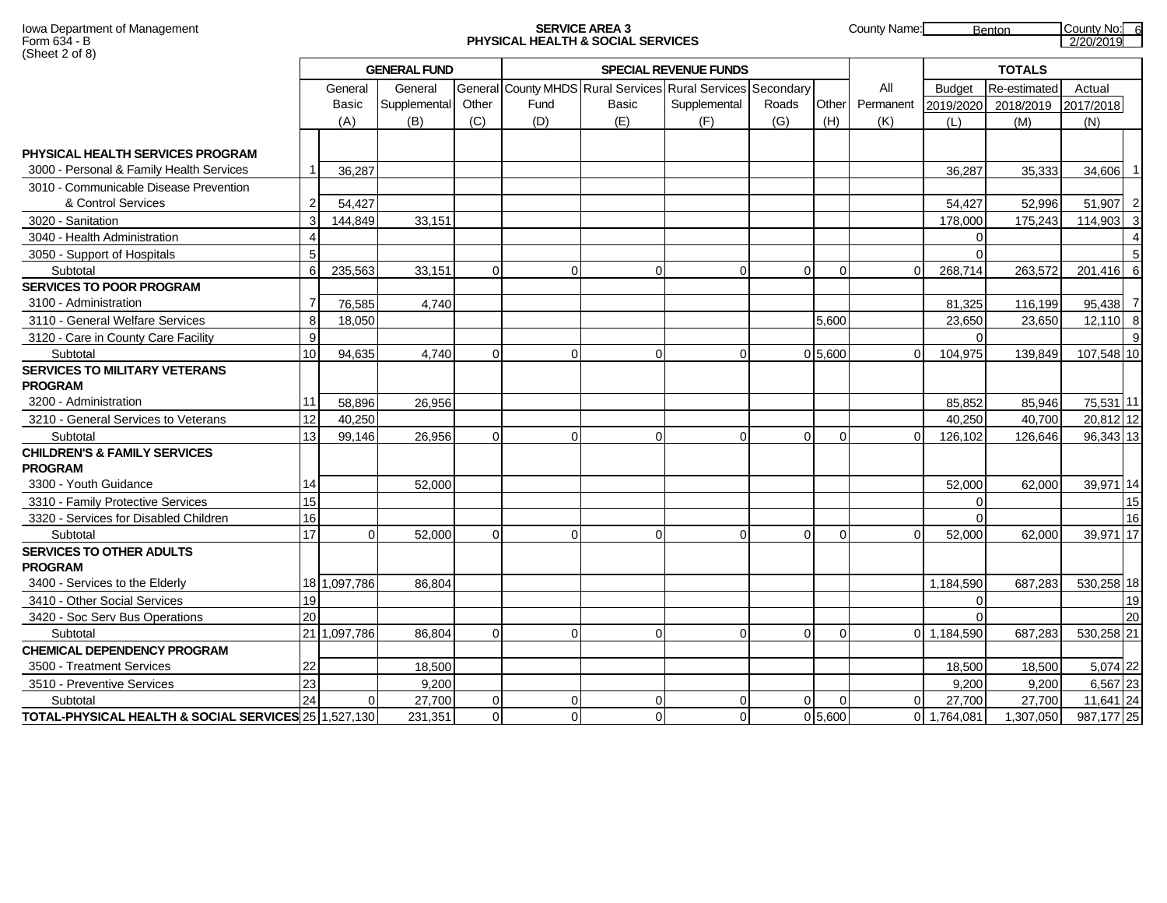## Iowa Department of Management **SERVICE AREA 3** County Name: Benton County Name: Benton County No: 6

|                                                      |                |              | <b>GENERAL FUND</b> |          |      |                                                             | <b>SPECIAL REVENUE FUNDS</b> |          |           |              |               | <b>TOTALS</b> |            |                |
|------------------------------------------------------|----------------|--------------|---------------------|----------|------|-------------------------------------------------------------|------------------------------|----------|-----------|--------------|---------------|---------------|------------|----------------|
|                                                      |                | General      | General             |          |      | General County MHDS Rural Services Rural Services Secondary |                              |          |           | All          | <b>Budget</b> | Re-estimated  | Actual     |                |
|                                                      |                | Basic        | Supplemental        | Other    | Fund | <b>Basic</b>                                                | Supplemental                 | Roads    | Other     | Permanent    | 2019/2020     | 2018/2019     | 2017/2018  |                |
|                                                      |                | (A)          | (B)                 | (C)      | (D)  | (E)                                                         | (F)                          | (G)      | (H)       | (K)          | (L)           | (M)           | (N)        |                |
| PHYSICAL HEALTH SERVICES PROGRAM                     |                |              |                     |          |      |                                                             |                              |          |           |              |               |               |            |                |
| 3000 - Personal & Family Health Services             |                | 36.287       |                     |          |      |                                                             |                              |          |           |              | 36.287        | 35.333        | 34,606     | - 1            |
| 3010 - Communicable Disease Prevention               |                |              |                     |          |      |                                                             |                              |          |           |              |               |               |            |                |
| & Control Services                                   | 2              | 54,427       |                     |          |      |                                                             |                              |          |           |              | 54,427        | 52,996        | 51,907 2   |                |
| 3020 - Sanitation                                    | 3              | 144,849      | 33,151              |          |      |                                                             |                              |          |           |              | 178,000       | 175,243       | 114,903 3  |                |
| 3040 - Health Administration                         |                |              |                     |          |      |                                                             |                              |          |           |              | ∩             |               |            | $\overline{4}$ |
| 3050 - Support of Hospitals                          | 5              |              |                     |          |      |                                                             |                              |          |           |              |               |               |            | 5              |
| Subtotal                                             | $6 \,$         | 235,563      | 33,151              | $\Omega$ | O    | $\Omega$                                                    | $\Omega$                     | $\Omega$ | $\Omega$  | <sup>n</sup> | 268,714       | 263,572       | 201,416 6  |                |
| <b>SERVICES TO POOR PROGRAM</b>                      |                |              |                     |          |      |                                                             |                              |          |           |              |               |               |            |                |
| 3100 - Administration                                | $\overline{7}$ | 76.585       | 4.740               |          |      |                                                             |                              |          |           |              | 81.325        | 116,199       | 95,438 7   |                |
| 3110 - General Welfare Services                      | 8              | 18,050       |                     |          |      |                                                             |                              |          | 5,600     |              | 23,650        | 23,650        | 12,110 8   |                |
| 3120 - Care in County Care Facility                  | 9              |              |                     |          |      |                                                             |                              |          |           |              |               |               |            | 9              |
| Subtotal                                             | 10             | 94,635       | 4,740               | $\Omega$ |      | $\Omega$                                                    | $\Omega$                     |          | 0 5,600   |              | 104,975       | 139,849       | 107,548 10 |                |
| <b>SERVICES TO MILITARY VETERANS</b>                 |                |              |                     |          |      |                                                             |                              |          |           |              |               |               |            |                |
| <b>PROGRAM</b>                                       |                |              |                     |          |      |                                                             |                              |          |           |              |               |               |            |                |
| 3200 - Administration                                | 11             | 58,896       | 26,956              |          |      |                                                             |                              |          |           |              | 85,852        | 85,946        | 75,531 11  |                |
| 3210 - General Services to Veterans                  | 12             | 40.250       |                     |          |      |                                                             |                              |          |           |              | 40.250        | 40.700        | 20,812 12  |                |
| Subtotal                                             | 13             | 99,146       | 26.956              | $\Omega$ | U    | $\Omega$                                                    | $\Omega$                     | $\Omega$ | $\Omega$  |              | 126,102       | 126,646       | 96,343 13  |                |
| <b>CHILDREN'S &amp; FAMILY SERVICES</b>              |                |              |                     |          |      |                                                             |                              |          |           |              |               |               |            |                |
| <b>PROGRAM</b>                                       |                |              |                     |          |      |                                                             |                              |          |           |              |               |               |            |                |
| 3300 - Youth Guidance                                | 14             |              | 52,000              |          |      |                                                             |                              |          |           |              | 52,000        | 62,000        | 39,971 14  |                |
| 3310 - Family Protective Services                    | 15             |              |                     |          |      |                                                             |                              |          |           |              | U             |               |            | 15             |
| 3320 - Services for Disabled Children                | 16             |              |                     |          |      |                                                             |                              |          |           |              |               |               |            | 16             |
| Subtotal                                             | 17             | $\Omega$     | 52.000              | $\Omega$ | ∩    | $\Omega$                                                    | $\Omega$                     | $\Omega$ | $\Omega$  |              | 52,000        | 62.000        | 39,971 17  |                |
| <b>SERVICES TO OTHER ADULTS</b>                      |                |              |                     |          |      |                                                             |                              |          |           |              |               |               |            |                |
| <b>PROGRAM</b>                                       |                |              |                     |          |      |                                                             |                              |          |           |              |               |               |            |                |
| 3400 - Services to the Elderly                       |                | 18 1,097,786 | 86.804              |          |      |                                                             |                              |          |           |              | 1.184.590     | 687.283       | 530,258 18 |                |
| 3410 - Other Social Services                         | 19             |              |                     |          |      |                                                             |                              |          |           |              |               |               |            | 19             |
| 3420 - Soc Serv Bus Operations                       | 20             |              |                     |          |      |                                                             |                              |          |           |              |               |               |            | 20             |
| Subtotal                                             |                | 21 1,097,786 | 86,804              | $\Omega$ | ∩    | $\Omega$                                                    | $\Omega$                     | $\Omega$ | $\Omega$  |              | 0 1,184,590   | 687,283       | 530,258 21 |                |
| <b>CHEMICAL DEPENDENCY PROGRAM</b>                   |                |              |                     |          |      |                                                             |                              |          |           |              |               |               |            |                |
| 3500 - Treatment Services                            | 22             |              | 18.500              |          |      |                                                             |                              |          |           |              | 18,500        | 18,500        | 5,074 22   |                |
| 3510 - Preventive Services                           | 23             |              | 9,200               |          |      |                                                             |                              |          |           |              | 9,200         | 9,200         | 6,567 23   |                |
| Subtotal                                             | 24             |              | 27,700              | $\Omega$ | ∩    | $\Omega$                                                    | $\Omega$                     | $\Omega$ | $\Omega$  |              | 27,700        | 27,700        | 11,641 24  |                |
| TOTAL-PHYSICAL HEALTH & SOCIAL SERVICES 25 1,527,130 |                |              | 231,351             | $\Omega$ |      | $\Omega$                                                    | $\Omega$                     |          | 0, 5, 600 |              | 0 1.764.081   | 1,307,050     | 987,177 25 |                |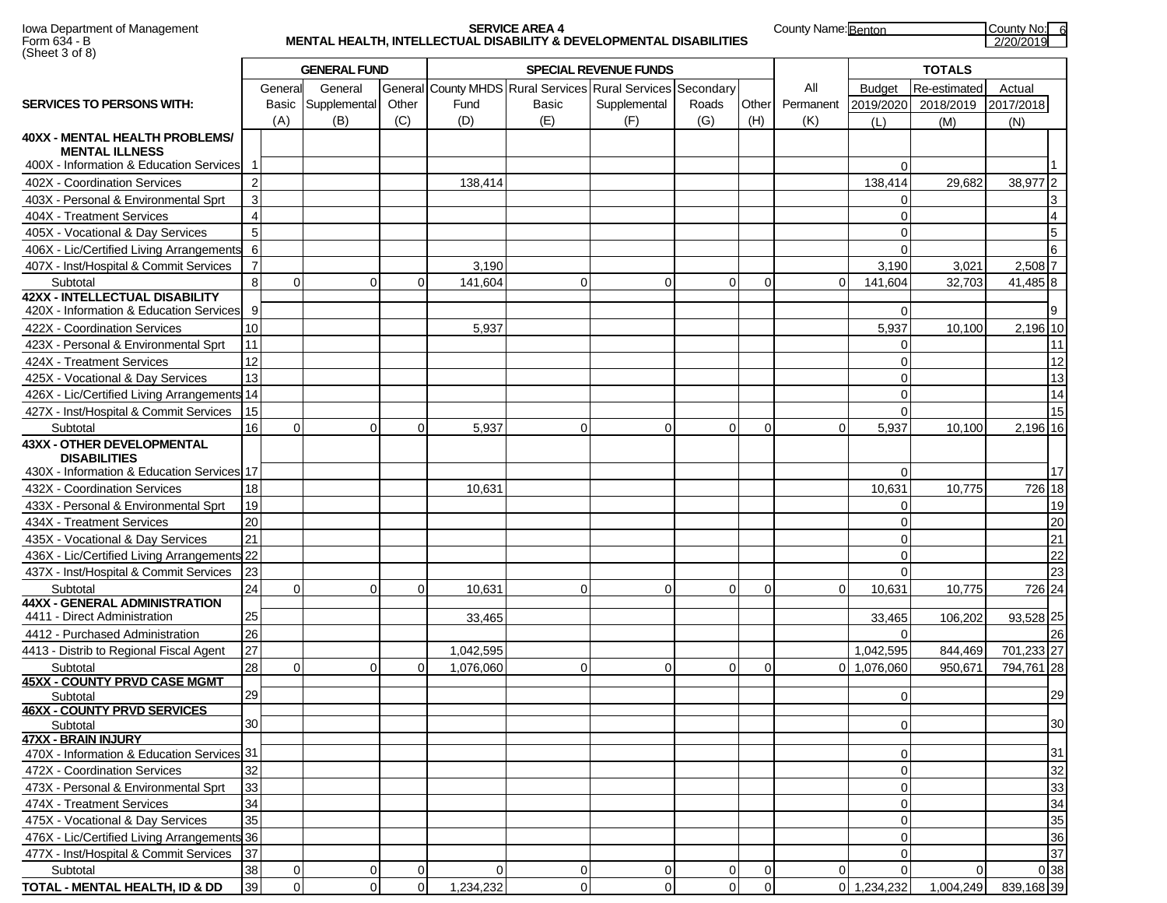| Iowa Department of Management |
|-------------------------------|
| Form 634 - B                  |
| (Sheet 3 of 8)                |

### Iowa Department of Management **SERVICE AREA 4** County Name: **Benton County No: 6** County Name: **Benton** County No: 6 Form 634 - B **MENTAL HEALTH, INTELLECTUAL DISABILITY & DEVELOPMENTAL DISABILITIES** 2/20/2019

| $\sqrt{2}$                                               | <b>GENERAL FUND</b> |                |              |             |           |              | <b>SPECIAL REVENUE FUNDS</b>                      |                | <b>TOTALS</b>  |             |                      |              |                 |
|----------------------------------------------------------|---------------------|----------------|--------------|-------------|-----------|--------------|---------------------------------------------------|----------------|----------------|-------------|----------------------|--------------|-----------------|
|                                                          |                     | General        | General      |             |           |              | General County MHDS Rural Services Rural Services | Secondary      |                | All         | <b>Budget</b>        | Re-estimated | Actual          |
| <b>SERVICES TO PERSONS WITH:</b>                         |                     | Basic          | Supplemental | Other       | Fund      | Basic        | Supplemental                                      | Roads          | Other          | Permanent   | 2019/2020            | 2018/2019    | 2017/2018       |
|                                                          |                     | (A)            | (B)          | (C)         | (D)       | (E)          | (F)                                               | (G)            | (H)            | (K)         | (L)                  | (M)          | (N)             |
| <b>40XX - MENTAL HEALTH PROBLEMS/</b>                    |                     |                |              |             |           |              |                                                   |                |                |             |                      |              |                 |
| <b>MENTAL ILLNESS</b>                                    |                     |                |              |             |           |              |                                                   |                |                |             |                      |              |                 |
| 400X - Information & Education Services 1                |                     |                |              |             |           |              |                                                   |                |                |             | $\Omega$             |              |                 |
| 402X - Coordination Services                             | $\overline{2}$      |                |              |             | 138,414   |              |                                                   |                |                |             | 138,414              | 29,682       | 38,977 2        |
| 403X - Personal & Environmental Sprt                     | 3                   |                |              |             |           |              |                                                   |                |                |             | O                    |              | 3               |
| 404X - Treatment Services                                | $\overline{4}$      |                |              |             |           |              |                                                   |                |                |             | O                    |              | $\overline{4}$  |
| 405X - Vocational & Day Services                         | $\sqrt{5}$          |                |              |             |           |              |                                                   |                |                |             | $\Omega$             |              | $5\overline{)}$ |
| 406X - Lic/Certified Living Arrangements                 | 6                   |                |              |             |           |              |                                                   |                |                |             | $\Omega$             |              | 6               |
| 407X - Inst/Hospital & Commit Services                   | $\overline{7}$      |                |              |             | 3,190     |              |                                                   |                |                |             | 3,190                | 3,021        | $2,508$ 7       |
| Subtotal                                                 | 8                   | $\Omega$       | $\Omega$     | $\Omega$    | 141,604   | $\mathbf{0}$ | $\overline{0}$                                    | $\Omega$       | $\Omega$       | $\Omega$    | 141,604              | 32,703       | 41,485 8        |
| <b>42XX - INTELLECTUAL DISABILITY</b>                    |                     |                |              |             |           |              |                                                   |                |                |             |                      |              |                 |
| 420X - Information & Education Services                  | 9                   |                |              |             |           |              |                                                   |                |                |             | $\Omega$             |              | 9               |
| 422X - Coordination Services                             | 10                  |                |              |             | 5,937     |              |                                                   |                |                |             | 5,937                | 10,100       | 2,196 10        |
| 423X - Personal & Environmental Sprt                     | 11                  |                |              |             |           |              |                                                   |                |                |             | $\Omega$             |              | 11              |
| 424X - Treatment Services                                | 12                  |                |              |             |           |              |                                                   |                |                |             | $\Omega$             |              | 12              |
| 425X - Vocational & Day Services                         | 13                  |                |              |             |           |              |                                                   |                |                |             | $\Omega$             |              | 13              |
| 426X - Lic/Certified Living Arrangements 14              |                     |                |              |             |           |              |                                                   |                |                |             | 0                    |              | 14              |
| 427X - Inst/Hospital & Commit Services                   | 15                  |                |              |             |           |              |                                                   |                |                |             | $\Omega$             |              | 15              |
| Subtotal                                                 | 16                  | $\mathbf 0$    | $\Omega$     | $\mathbf 0$ | 5,937     | $\mathbf 0$  | $\overline{0}$                                    | $\Omega$       | $\Omega$       | $\mathbf 0$ | 5,937                | 10,100       | 2,196 16        |
| <b>43XX - OTHER DEVELOPMENTAL</b><br><b>DISABILITIES</b> |                     |                |              |             |           |              |                                                   |                |                |             |                      |              |                 |
| 430X - Information & Education Services 17               |                     |                |              |             |           |              |                                                   |                |                |             | $\Omega$             |              | 17              |
| 432X - Coordination Services                             | 18                  |                |              |             | 10,631    |              |                                                   |                |                |             | 10,631               | 10,775       | 726 18          |
| 433X - Personal & Environmental Sprt                     | 19                  |                |              |             |           |              |                                                   |                |                |             | $\Omega$             |              | 19              |
|                                                          | 20                  |                |              |             |           |              |                                                   |                |                |             | $\Omega$             |              | 20              |
| 434X - Treatment Services                                | 21                  |                |              |             |           |              |                                                   |                |                |             |                      |              | $\overline{21}$ |
| 435X - Vocational & Day Services                         |                     |                |              |             |           |              |                                                   |                |                |             | $\Omega$<br>$\Omega$ |              | $\overline{22}$ |
| 436X - Lic/Certified Living Arrangements 22              |                     |                |              |             |           |              |                                                   |                |                |             |                      |              |                 |
| 437X - Inst/Hospital & Commit Services                   | 23                  |                |              |             |           |              |                                                   |                |                |             | $\Omega$             |              | 23              |
| Subtotal<br><b>44XX - GENERAL ADMINISTRATION</b>         | 24                  | $\mathbf 0$    | $\Omega$     | 0           | 10,631    | $\mathbf 0$  | $\mathbf 0$                                       | $\Omega$       | $\Omega$       | $\Omega$    | 10,631               | 10,775       | 726 24          |
| 4411 - Direct Administration                             | 25                  |                |              |             | 33,465    |              |                                                   |                |                |             | 33,465               | 106,202      | 93,528 25       |
| 4412 - Purchased Administration                          | 26                  |                |              |             |           |              |                                                   |                |                |             | $\Omega$             |              | 26              |
| 4413 - Distrib to Regional Fiscal Agent                  | 27                  |                |              |             | 1,042,595 |              |                                                   |                |                |             | 1,042,595            | 844,469      | 701,233 27      |
| Subtotal                                                 | 28                  | $\Omega$       | $\Omega$     | $\Omega$    | 1,076,060 | $\mathbf 0$  | $\Omega$                                          | $\Omega$       | $\Omega$       |             | 0 1,076,060          | 950,671      | 794,761 28      |
| <b>45XX - COUNTY PRVD CASE MGMT</b>                      |                     |                |              |             |           |              |                                                   |                |                |             |                      |              |                 |
| Subtotal                                                 | 29                  |                |              |             |           |              |                                                   |                |                |             | $\Omega$             |              | 29              |
| <b>46XX - COUNTY PRVD SERVICES</b>                       |                     |                |              |             |           |              |                                                   |                |                |             |                      |              |                 |
| Subtotal                                                 | 30                  |                |              |             |           |              |                                                   |                |                |             | $\overline{0}$       |              | 30              |
| <b>47XX - BRAIN INJURY</b>                               |                     |                |              |             |           |              |                                                   |                |                |             |                      |              |                 |
| 470X - Information & Education Services 31               |                     |                |              |             |           |              |                                                   |                |                |             | $\Omega$             |              | 31              |
| 472X - Coordination Services                             | 32                  |                |              |             |           |              |                                                   |                |                |             | 0                    |              | 32              |
| 473X - Personal & Environmental Sprt                     | 33                  |                |              |             |           |              |                                                   |                |                |             | $\mathbf 0$          |              | 33              |
| 474X - Treatment Services                                | 34                  |                |              |             |           |              |                                                   |                |                |             | $\Omega$             |              | 34              |
| 475X - Vocational & Day Services                         | 35                  |                |              |             |           |              |                                                   |                |                |             | $\mathbf 0$          |              | 35              |
| 476X - Lic/Certified Living Arrangements 36              |                     |                |              |             |           |              |                                                   |                |                |             | $\mathbf 0$          |              | 36              |
| 477X - Inst/Hospital & Commit Services                   | 37                  |                |              |             |           |              |                                                   |                |                |             | $\Omega$             |              | 37              |
| Subtotal                                                 | 38                  | 0              | 0            | 0           | $\Omega$  | 0            | $\overline{0}$                                    | $\overline{0}$ | $\overline{0}$ | $\Omega$    |                      | $\Omega$     | 0 38            |
| TOTAL - MENTAL HEALTH, ID & DD                           | 39                  | $\overline{0}$ | $\Omega$     | $\mathbf 0$ | 1,234,232 | $\mathbf 0$  | $\Omega$                                          | $\Omega$       | $\overline{0}$ |             | 0 1,234,232          | 1,004,249    | 839,168 39      |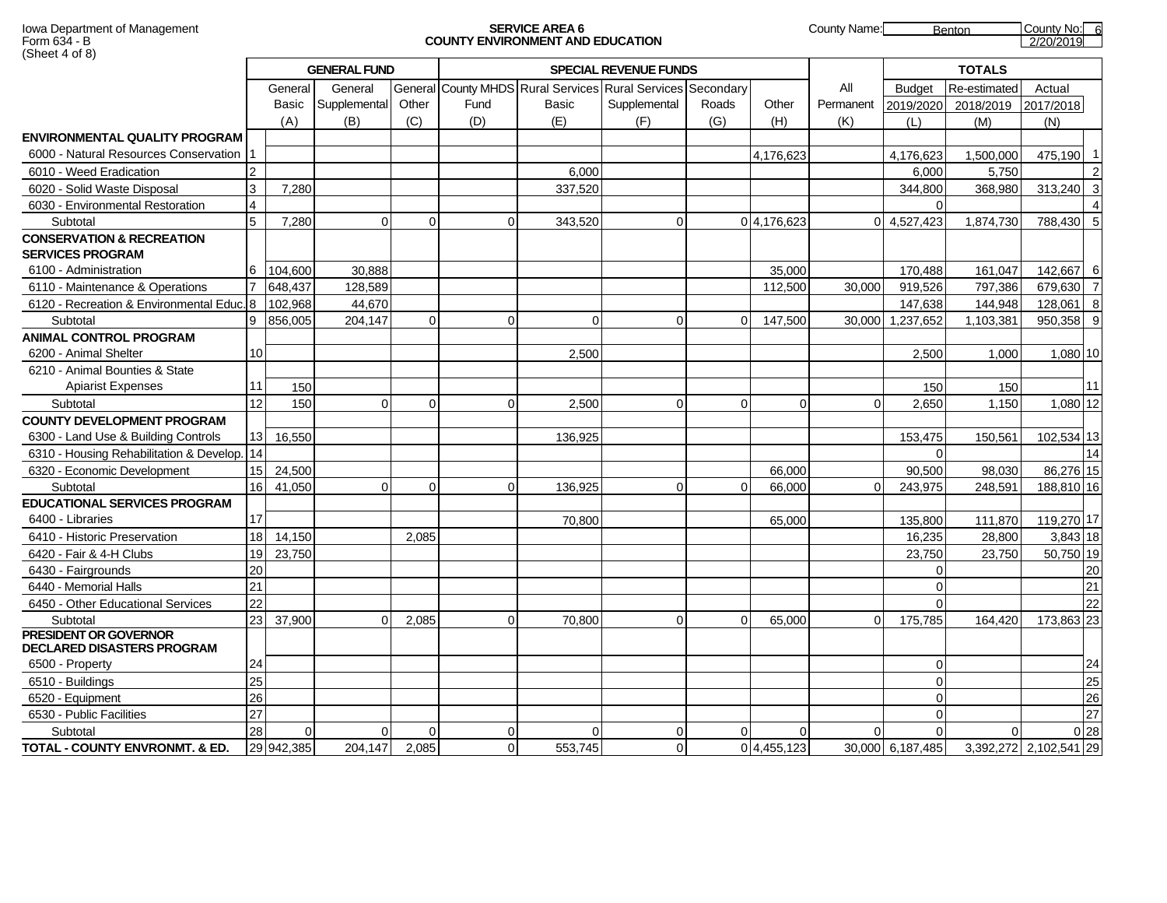#### Iowa Department of Management **SERVICE AREA 6** County Name: Benton County No: 6 County No: 6 County No: 6 County No: 6 County No: 6 County No: 6 County No: 6 County No: 6 County No: 6 County No: 6 County No: 6 County No: 6 Form 634 - B **COUNTY ENVIRONMENT AND EDUCATION** 2/20/2019

|                                                                   | <b>GENERAL FUND</b> |            |              |          |          |                                                             | <b>TOTALS</b> |          |            |           |                  |              |                        |                |
|-------------------------------------------------------------------|---------------------|------------|--------------|----------|----------|-------------------------------------------------------------|---------------|----------|------------|-----------|------------------|--------------|------------------------|----------------|
|                                                                   |                     | General    | General      |          |          | General County MHDS Rural Services Rural Services Secondary |               |          |            | All       | <b>Budget</b>    | Re-estimated | Actual                 |                |
|                                                                   |                     | Basic      | Supplemental | Other    | Fund     | Basic                                                       | Supplemental  | Roads    | Other      | Permanent | 2019/2020        | 2018/2019    | 2017/2018              |                |
|                                                                   |                     | (A)        | (B)          | (C)      | (D)      | (E)                                                         | (F)           | (G)      | (H)        | (K)       | (L)              | (M)          | (N)                    |                |
| ENVIRONMENTAL QUALITY PROGRAM                                     |                     |            |              |          |          |                                                             |               |          |            |           |                  |              |                        |                |
| 6000 - Natural Resources Conservation                             |                     |            |              |          |          |                                                             |               |          | 4,176,623  |           | 4,176,623        | 1,500,000    | 475,190                | $\overline{1}$ |
| 6010 - Weed Eradication                                           | $\overline{2}$      |            |              |          |          | 6,000                                                       |               |          |            |           | 6,000            | 5,750        |                        | $\overline{2}$ |
| 6020 - Solid Waste Disposal                                       | 3                   | 7,280      |              |          |          | 337,520                                                     |               |          |            |           | 344,800          | 368,980      | 313,240                | $\mathbf{3}$   |
| 6030 - Environmental Restoration                                  | 4                   |            |              |          |          |                                                             |               |          |            |           | $\Omega$         |              |                        |                |
| Subtotal                                                          | 5                   | 7,280      | $\Omega$     | $\Omega$ | $\Omega$ | 343,520                                                     | $\Omega$      |          | 04,176,623 |           | 0 4,527,423      | 1,874,730    | 788,430 5              |                |
| <b>CONSERVATION &amp; RECREATION</b><br><b>SERVICES PROGRAM</b>   |                     |            |              |          |          |                                                             |               |          |            |           |                  |              |                        |                |
| 6100 - Administration                                             | 6                   | 104,600    | 30,888       |          |          |                                                             |               |          | 35,000     |           | 170,488          | 161,047      | 142,667 6              |                |
| 6110 - Maintenance & Operations                                   |                     | 648,437    | 128,589      |          |          |                                                             |               |          | 112,500    | 30,000    | 919,526          | 797,386      | 679,630 7              |                |
| 6120 - Recreation & Environmental Educ.                           | 8                   | 102,968    | 44,670       |          |          |                                                             |               |          |            |           | 147,638          | 144,948      | 128,061 8              |                |
| Subtotal                                                          | 9                   | 856,005    | 204,147      | $\Omega$ | $\Omega$ | $\Omega$                                                    | $\Omega$      | $\Omega$ | 147,500    | 30,000    | 1,237,652        | 1,103,381    | 950,358 9              |                |
| <b>ANIMAL CONTROL PROGRAM</b>                                     |                     |            |              |          |          |                                                             |               |          |            |           |                  |              |                        |                |
| 6200 - Animal Shelter                                             | 10 <sup>1</sup>     |            |              |          |          | 2,500                                                       |               |          |            |           | 2,500            | 1,000        | 1,080 10               |                |
| 6210 - Animal Bounties & State                                    |                     |            |              |          |          |                                                             |               |          |            |           |                  |              |                        |                |
| <b>Apiarist Expenses</b>                                          | 11                  | 150        |              |          |          |                                                             |               |          |            |           | 150              | 150          |                        | 11             |
| Subtotal                                                          | 12                  | 150        | $\Omega$     | $\Omega$ |          | 2.500                                                       | $\Omega$      | $\Omega$ | $\Omega$   | $\Omega$  | 2.650            | 1,150        | 1,080 12               |                |
| <b>COUNTY DEVELOPMENT PROGRAM</b>                                 |                     |            |              |          |          |                                                             |               |          |            |           |                  |              |                        |                |
| 6300 - Land Use & Building Controls                               | 13 <sub>l</sub>     | 16,550     |              |          |          | 136,925                                                     |               |          |            |           | 153,475          | 150,561      | 102,534 13             |                |
| 6310 - Housing Rehabilitation & Develop.                          | 14                  |            |              |          |          |                                                             |               |          |            |           | $\Omega$         |              |                        | 14             |
| 6320 - Economic Development                                       | 15 I                | 24,500     |              |          |          |                                                             |               |          | 66,000     |           | 90,500           | 98,030       | 86,276 15              |                |
| Subtotal                                                          | 16                  | 41,050     | $\Omega$     | $\Omega$ | $\Omega$ | 136,925                                                     | $\Omega$      | 0        | 66,000     | $\Omega$  | 243,975          | 248,591      | 188,810 16             |                |
| <b>EDUCATIONAL SERVICES PROGRAM</b>                               |                     |            |              |          |          |                                                             |               |          |            |           |                  |              |                        |                |
| 6400 - Libraries                                                  | 17                  |            |              |          |          | 70,800                                                      |               |          | 65,000     |           | 135,800          | 111,870      | 119,270 17             |                |
| 6410 - Historic Preservation                                      | 18                  | 14,150     |              | 2.085    |          |                                                             |               |          |            |           | 16.235           | 28.800       | 3,843 18               |                |
| 6420 - Fair & 4-H Clubs                                           | 19 <sup>l</sup>     | 23,750     |              |          |          |                                                             |               |          |            |           | 23,750           | 23,750       | 50,750 19              |                |
| 6430 - Fairgrounds                                                | 20                  |            |              |          |          |                                                             |               |          |            |           | $\Omega$         |              |                        | 20             |
| 6440 - Memorial Halls                                             | 21                  |            |              |          |          |                                                             |               |          |            |           | $\Omega$         |              |                        | 21             |
| 6450 - Other Educational Services                                 | 22                  |            |              |          |          |                                                             |               |          |            |           | $\Omega$         |              |                        | 22             |
| Subtotal                                                          | 23                  | 37,900     | 0            | 2,085    | $\Omega$ | 70,800                                                      | $\Omega$      | $\Omega$ | 65,000     | $\Omega$  | 175,785          | 164,420      | 173,863 23             |                |
| <b>PRESIDENT OR GOVERNOR</b><br><b>DECLARED DISASTERS PROGRAM</b> |                     |            |              |          |          |                                                             |               |          |            |           |                  |              |                        |                |
| 6500 - Property                                                   | 24                  |            |              |          |          |                                                             |               |          |            |           | $\overline{0}$   |              |                        | 24             |
| 6510 - Buildings                                                  | 25                  |            |              |          |          |                                                             |               |          |            |           | $\Omega$         |              |                        | 25             |
| 6520 - Equipment                                                  | 26                  |            |              |          |          |                                                             |               |          |            |           | $\Omega$         |              |                        | 26             |
| 6530 - Public Facilities                                          | 27                  |            |              |          |          |                                                             |               |          |            |           | $\Omega$         |              |                        | 27             |
| Subtotal                                                          | 28                  | $\Omega$   | $\Omega$     | $\Omega$ | $\Omega$ | $\Omega$                                                    | $\Omega$      | $\Omega$ | 0          | $\Omega$  | $\Omega$         | $\Omega$     | 0 <sub>28</sub>        |                |
| <b>TOTAL - COUNTY ENVRONMT, &amp; ED.</b>                         |                     | 29 942,385 | 204,147      | 2,085    | $\Omega$ | 553,745                                                     | $\Omega$      |          | 04,455,123 |           | 30,000 6,187,485 |              | 3,392,272 2,102,541 29 |                |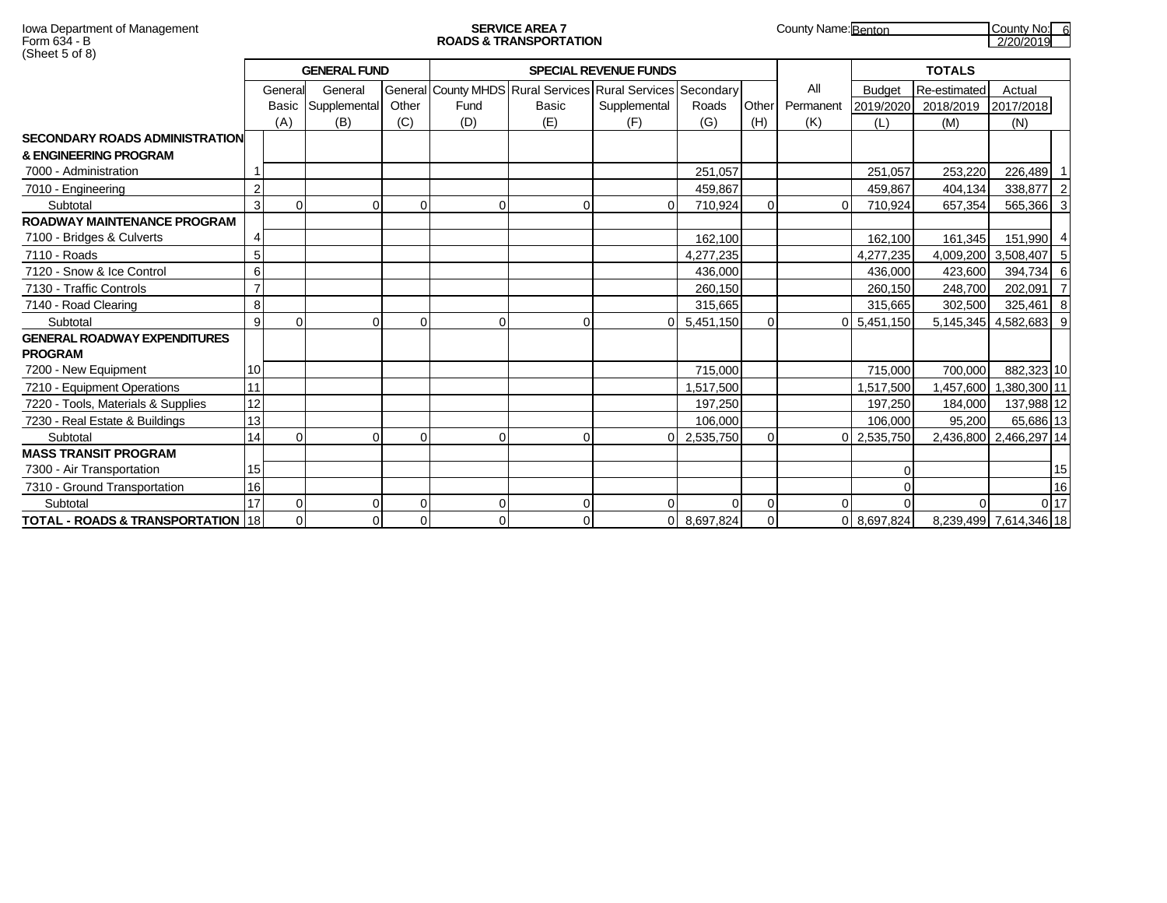|                                                       |                |          | <b>GENERAL FUND</b> |          |          |                                                             | <b>SPECIAL REVENUE FUNDS</b> |           |                | <b>TOTALS</b> |               |                     |                        |                 |
|-------------------------------------------------------|----------------|----------|---------------------|----------|----------|-------------------------------------------------------------|------------------------------|-----------|----------------|---------------|---------------|---------------------|------------------------|-----------------|
|                                                       |                | General  | General             |          |          | General County MHDS Rural Services Rural Services Secondary |                              |           |                | All           | <b>Budget</b> | Re-estimated        | Actual                 |                 |
|                                                       |                |          | Basic Supplemental  | Other    | Fund     | Basic                                                       | Supplemental                 | Roads     | Other          | Permanent     | 2019/2020     | 2018/2019 2017/2018 |                        |                 |
|                                                       |                | (A)      | (B)                 | (C)      | (D)      | (E)                                                         | (F)                          | (G)       | (H)            | (K)           | (L)           | (M)                 | (N)                    |                 |
| <b>SECONDARY ROADS ADMINISTRATION</b>                 |                |          |                     |          |          |                                                             |                              |           |                |               |               |                     |                        |                 |
| & ENGINEERING PROGRAM                                 |                |          |                     |          |          |                                                             |                              |           |                |               |               |                     |                        |                 |
| 7000 - Administration                                 |                |          |                     |          |          |                                                             |                              | 251.057   |                |               | 251.057       | 253,220             | 226,489 1              |                 |
| 7010 - Engineering                                    | $\overline{2}$ |          |                     |          |          |                                                             |                              | 459,867   |                |               | 459.867       | 404,134             | 338,877 2              |                 |
| Subtotal                                              | 3              | $\Omega$ |                     | $\Omega$ | $\Omega$ | $\Omega$                                                    | $\Omega$                     | 710,924   | $\Omega$       |               | 710,924       | 657,354             | 565,366 3              |                 |
| ROADWAY MAINTENANCE PROGRAM                           |                |          |                     |          |          |                                                             |                              |           |                |               |               |                     |                        |                 |
| 7100 - Bridges & Culverts                             | $\overline{4}$ |          |                     |          |          |                                                             |                              | 162.100   |                |               | 162.100       | 161,345             | 151,990 4              |                 |
| 7110 - Roads                                          | 5              |          |                     |          |          |                                                             |                              | 4,277,235 |                |               | 4,277,235     |                     | 4,009,200 3,508,407 5  |                 |
| 7120 - Snow & Ice Control                             | 6              |          |                     |          |          |                                                             |                              | 436.000   |                |               | 436,000       | 423,600             | 394,734 6              |                 |
| 7130 - Traffic Controls                               | $\overline{ }$ |          |                     |          |          |                                                             |                              | 260,150   |                |               | 260,150       | 248.700             | 202,091 7              |                 |
| 7140 - Road Clearing                                  | 8              |          |                     |          |          |                                                             |                              | 315,665   |                |               | 315,665       | 302,500             | $325,461$ 8            |                 |
| Subtotal                                              | 9              | ∩        |                     | O        | $\Omega$ | $\Omega$                                                    | ΩI                           | 5,451,150 | $\Omega$       |               | 0 5,451,150   |                     | 5,145,345 4,582,683 9  |                 |
| <b>GENERAL ROADWAY EXPENDITURES</b><br><b>PROGRAM</b> |                |          |                     |          |          |                                                             |                              |           |                |               |               |                     |                        |                 |
| 7200 - New Equipment                                  | 10             |          |                     |          |          |                                                             |                              | 715.000   |                |               | 715.000       | 700.000             | 882,323 10             |                 |
| 7210 - Equipment Operations                           | 11             |          |                     |          |          |                                                             |                              | 1,517,500 |                |               | 1,517,500     | .457,600            | 1,380,300 11           |                 |
| 7220 - Tools, Materials & Supplies                    | 12             |          |                     |          |          |                                                             |                              | 197,250   |                |               | 197,250       | 184,000             | 137,988 12             |                 |
| 7230 - Real Estate & Buildings                        | 13             |          |                     |          |          |                                                             |                              | 106.000   |                |               | 106.000       | 95.200              | 65,686 13              |                 |
| Subtotal                                              | 14             | ∩        |                     | $\Omega$ | $\Omega$ | $\Omega$                                                    |                              | 2,535,750 | $\Omega$       |               | 0 2,535,750   |                     | 2,436,800 2,466,297 14 |                 |
| <b>MASS TRANSIT PROGRAM</b>                           |                |          |                     |          |          |                                                             |                              |           |                |               |               |                     |                        |                 |
| 7300 - Air Transportation                             | 15             |          |                     |          |          |                                                             |                              |           |                |               |               |                     |                        | 15              |
| 7310 - Ground Transportation                          | 16             |          |                     |          |          |                                                             |                              |           |                |               |               |                     |                        | 16              |
| Subtotal                                              | 17             | $\Omega$ |                     | $\Omega$ | $\Omega$ | 0                                                           | $\Omega$                     | $\Omega$  | $\overline{0}$ |               |               |                     |                        | 0 <sub>17</sub> |
| TOTAL - ROADS & TRANSPORTATION   18                   |                |          |                     | 0        | $\Omega$ | $\Omega$                                                    | οI                           | 8,697,824 | $\Omega$       |               | 0 8,697,824   |                     | 8,239,499 7,614,346 18 |                 |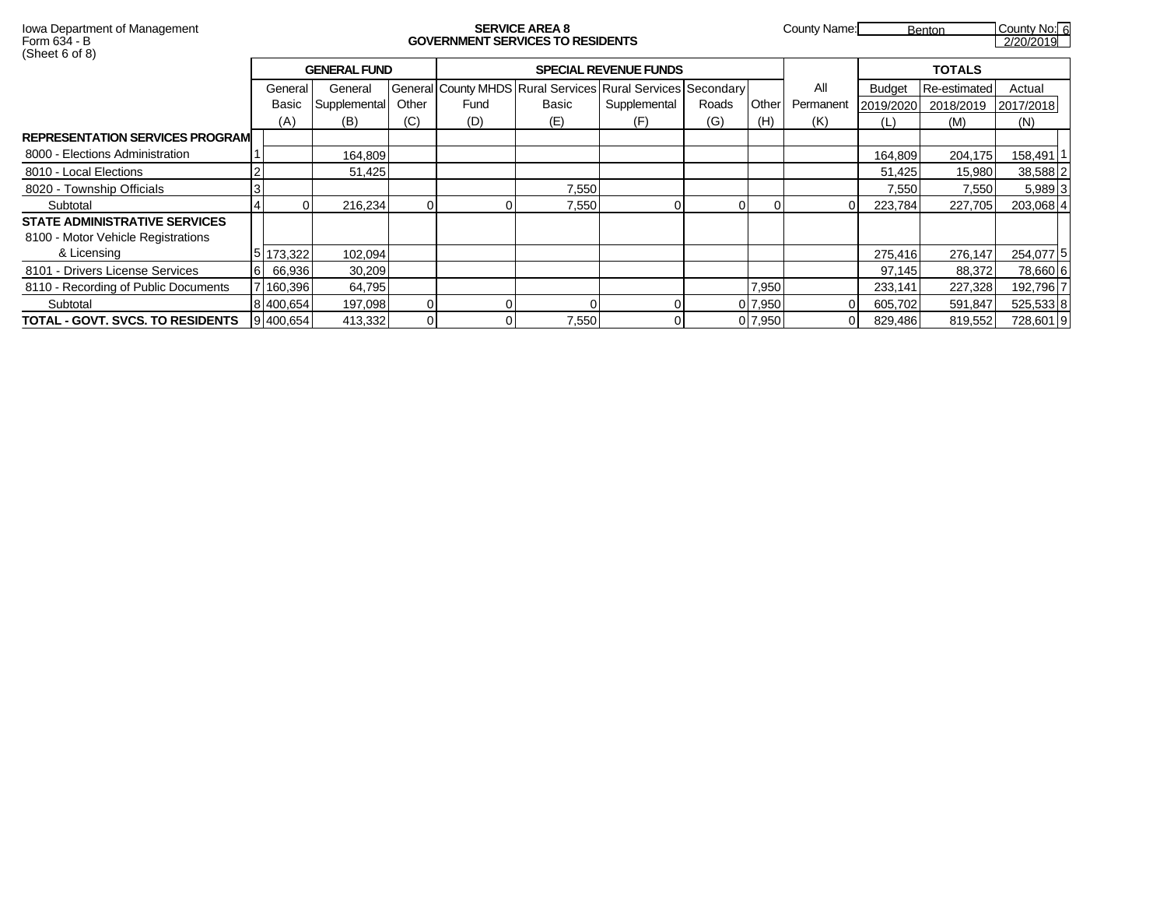# Form 634 - B **GOVERNMENT SERVICES TO RESIDENTS** 2/20/2019

Iowa Department of Management **SERVICE AREA 8** County Name: Benton County No: 6

|                                         |          |           | <b>GENERAL FUND</b> |       |      |       | <b>SPECIAL REVENUE FUNDS</b>                                |       |         |           |               | <b>TOTALS</b>       |           |
|-----------------------------------------|----------|-----------|---------------------|-------|------|-------|-------------------------------------------------------------|-------|---------|-----------|---------------|---------------------|-----------|
|                                         |          | General   | General             |       |      |       | General County MHDS Rural Services Rural Services Secondary |       |         | All       | <b>Budget</b> | Re-estimated        | Actual    |
|                                         |          | Basic     | Supplemental        | Other | Fund | Basic | Supplemental                                                | Roads | Other   | Permanent |               | 2019/2020 2018/2019 | 2017/2018 |
|                                         |          | (A)       | (B)                 | (C)   | (D)  | (E)   | (F)                                                         | (G)   | (H)     | (K)       | (L)           | (M)                 | (N)       |
| <b>REPRESENTATION SERVICES PROGRAMI</b> |          |           |                     |       |      |       |                                                             |       |         |           |               |                     |           |
| 8000 - Elections Administration         |          |           | 164,809             |       |      |       |                                                             |       |         |           | 164,809       | 204,175             | 158,491   |
| 8010 - Local Elections                  |          |           | 51,425              |       |      |       |                                                             |       |         |           | 51,425        | 15,980              | 38,588 2  |
| 8020 - Township Officials               |          |           |                     |       |      | 7,550 |                                                             |       |         |           | 7,550         | 7,550               | 5,989 3   |
| Subtotal                                | 4        |           | 216.234             |       |      | 7,550 |                                                             |       |         |           | 223.784       | 227,705             | 203,068 4 |
| <b>STATE ADMINISTRATIVE SERVICES</b>    |          |           |                     |       |      |       |                                                             |       |         |           |               |                     |           |
| 8100 - Motor Vehicle Registrations      |          |           |                     |       |      |       |                                                             |       |         |           |               |                     |           |
| & Licensing                             |          | 5 173.322 | 102,094             |       |      |       |                                                             |       |         |           | 275.416       | 276,147             | 254,077 5 |
| 8101 - Drivers License Services         | <b>6</b> | 66,936    | 30,209              |       |      |       |                                                             |       |         |           | 97,145        | 88,372              | 78,660 6  |
| 8110 - Recording of Public Documents    |          | 7 160,396 | 64,795              |       |      |       |                                                             |       | 7,950   |           | 233,141       | 227,328             | 192,796 7 |
| Subtotal                                |          | 8 400,654 | 197,098             |       |      |       |                                                             |       | 0 7,950 |           | 605,702       | 591,847             | 525,533 8 |
| <b>TOTAL - GOVT. SVCS. TO RESIDENTS</b> |          | 9 400,654 | 413,332             |       |      | 7,550 |                                                             |       | 0 7,950 |           | 829,486       | 819,552             | 728,601 9 |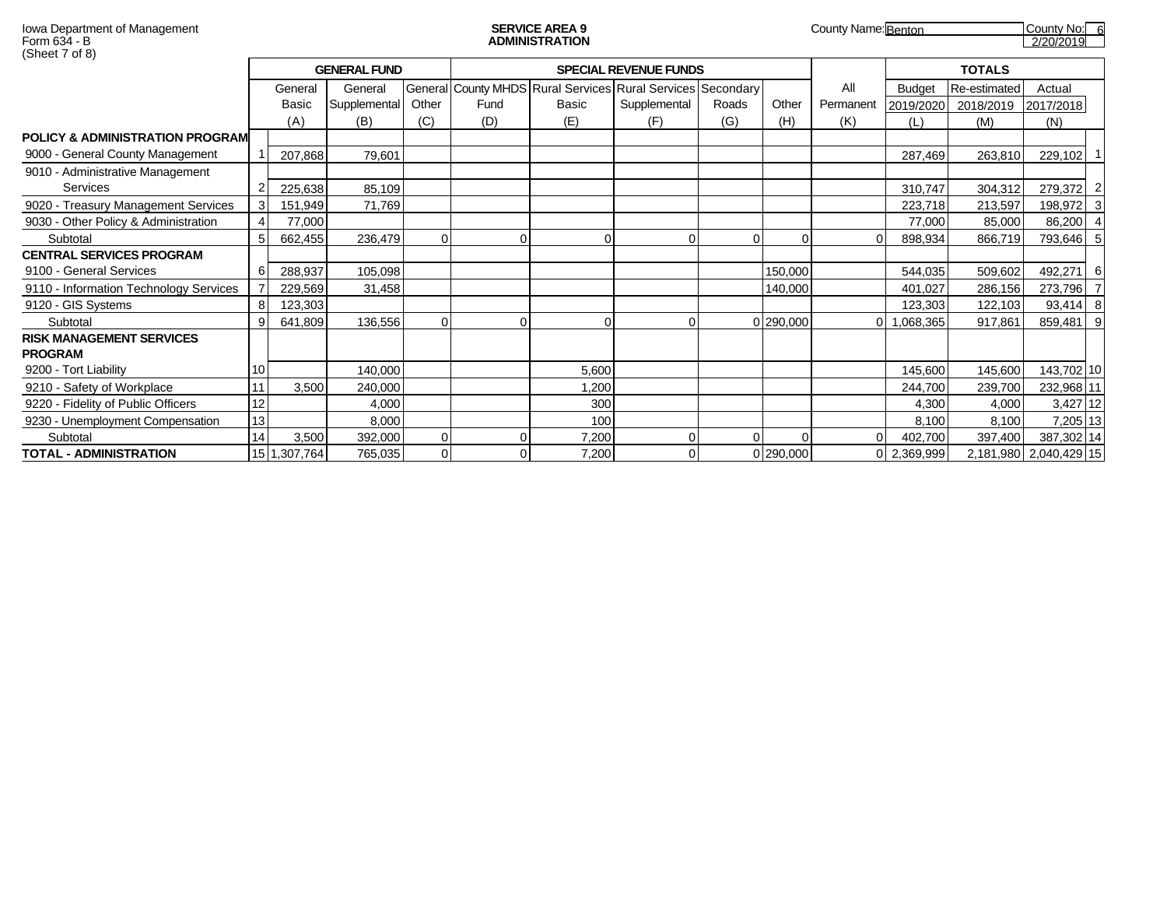| Form 634 - B<br>(Sheet 7 of 8)                    |                |              |                     |              |             | <b>ADMINISTRATION</b> |                                                             |              |               |                  |                  |                  | 2/20/2019              |  |
|---------------------------------------------------|----------------|--------------|---------------------|--------------|-------------|-----------------------|-------------------------------------------------------------|--------------|---------------|------------------|------------------|------------------|------------------------|--|
|                                                   |                |              | <b>GENERAL FUND</b> |              |             |                       | <b>SPECIAL REVENUE FUNDS</b>                                |              | <b>TOTALS</b> |                  |                  |                  |                        |  |
|                                                   |                | General      | General             |              |             |                       | General County MHDS Rural Services Rural Services Secondary |              |               | All              | <b>Budget</b>    | Re-estimated     | Actual                 |  |
|                                                   |                | Basic<br>(A) | Supplemental<br>(B) | Other<br>(C) | Fund<br>(D) | Basic<br>(E)          | Supplemental<br>(F)                                         | Roads<br>(G) | Other<br>(H)  | Permanent<br>(K) | 2019/2020<br>(L) | 2018/2019<br>(M) | 2017/2018<br>(N)       |  |
| <b>POLICY &amp; ADMINISTRATION PROGRAM</b>        |                |              |                     |              |             |                       |                                                             |              |               |                  |                  |                  |                        |  |
| 9000 - General County Management                  |                | 207,868      | 79,601              |              |             |                       |                                                             |              |               |                  | 287,469          | 263,810          | 229,102 1              |  |
| 9010 - Administrative Management                  |                |              |                     |              |             |                       |                                                             |              |               |                  |                  |                  |                        |  |
| <b>Services</b>                                   | $\overline{2}$ | 225,638      | 85,109              |              |             |                       |                                                             |              |               |                  | 310,747          | 304,312          | 279,372 2              |  |
| 9020 - Treasury Management Services               | $\mathbf{3}$   | 151,949      | 71,769              |              |             |                       |                                                             |              |               |                  | 223,718          | 213,597          | 198,972 3              |  |
| 9030 - Other Policy & Administration              | $\overline{4}$ | 77,000       |                     |              |             |                       |                                                             |              |               |                  | 77.000           | 85,000           | 86,200 4               |  |
| Subtotal                                          | 5 <sub>l</sub> | 662,455      | 236,479             | ∩            |             | 0                     |                                                             |              | $\Omega$      |                  | 898.934          | 866,719          | 793,646 5              |  |
| <b>CENTRAL SERVICES PROGRAM</b>                   |                |              |                     |              |             |                       |                                                             |              |               |                  |                  |                  |                        |  |
| 9100 - General Services                           | 6              | 288,937      | 105,098             |              |             |                       |                                                             |              | 150,000       |                  | 544,035          | 509,602          | 492,271 6              |  |
| 9110 - Information Technology Services            | $\overline{7}$ | 229,569      | 31,458              |              |             |                       |                                                             |              | 140,000       |                  | 401,027          | 286,156          | 273,796 7              |  |
| 9120 - GIS Systems                                | 8              | 123,303      |                     |              |             |                       |                                                             |              |               |                  | 123,303          | 122,103          | 93,414 8               |  |
| Subtotal                                          | -91            | 641,809      | 136,556             | $\Omega$     | $\Omega$    | 0                     | 0                                                           |              | 0 290,000     | ΩL               | 1,068,365        | 917,861          | 859,481 9              |  |
| <b>RISK MANAGEMENT SERVICES</b><br><b>PROGRAM</b> |                |              |                     |              |             |                       |                                                             |              |               |                  |                  |                  |                        |  |
| 9200 - Tort Liability                             | 10             |              | 140,000             |              |             | 5,600                 |                                                             |              |               |                  | 145,600          | 145,600          | 143,702 10             |  |
| 9210 - Safety of Workplace                        | 11             | 3,500        | 240,000             |              |             | 1,200                 |                                                             |              |               |                  | 244,700          | 239,700          | 232,968 11             |  |
| 9220 - Fidelity of Public Officers                | 12             |              | 4,000               |              |             | 300                   |                                                             |              |               |                  | 4,300            | 4,000            | 3,427 12               |  |
| 9230 - Unemployment Compensation                  | 13             |              | 8,000               |              |             | 100                   |                                                             |              |               |                  | 8.100            | 8,100            | 7,205 13               |  |
| Subtotal                                          | 14             | 3,500        | 392,000             | $\Omega$     |             | 7,200                 |                                                             | ΩI           | $\Omega$      | $\overline{0}$   | 402,700          | 397,400          | 387,302 14             |  |
| TOTAL - ADMINISTRATION                            |                | 15 1,307,764 | 765,035             | $\Omega$     |             | 7,200                 |                                                             |              | 0 290,000     |                  | 0 2,369,999      |                  | 2,181,980 2,040,429 15 |  |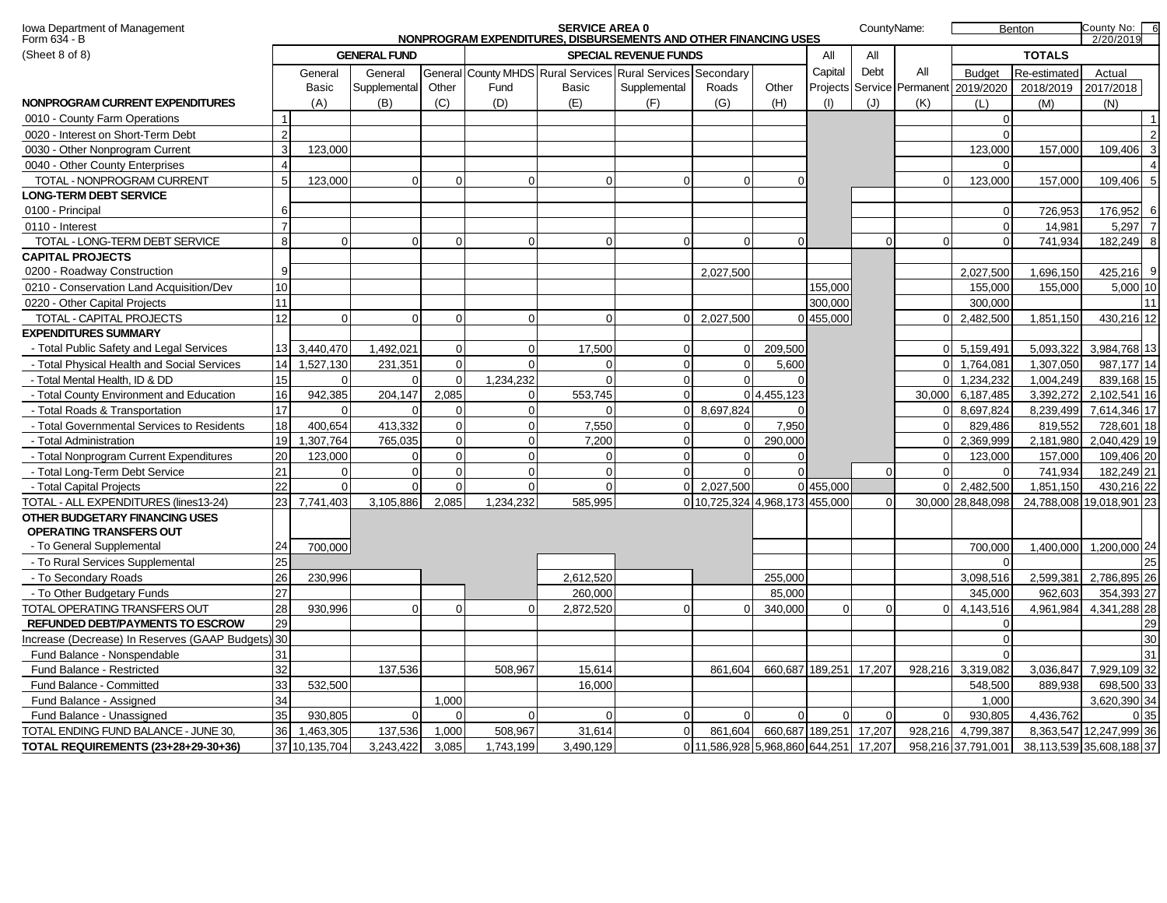| Iowa Department of Management<br>Form 634 - B     |                |                |                     |             |           | <b>SERVICE AREA 0</b> | NONPROGRAM EXPENDITURES, DISBURSEMENTS AND OTHER FINANCING USES |                                       |                        |                 | CountyName: |             |                                      | Benton        | County No: 6<br>2/20/2019 |
|---------------------------------------------------|----------------|----------------|---------------------|-------------|-----------|-----------------------|-----------------------------------------------------------------|---------------------------------------|------------------------|-----------------|-------------|-------------|--------------------------------------|---------------|---------------------------|
| (Sheet 8 of 8)                                    |                |                | <b>GENERAL FUND</b> |             |           |                       | <b>SPECIAL REVENUE FUNDS</b>                                    |                                       |                        | All             | All         |             |                                      | <b>TOTALS</b> |                           |
|                                                   |                | General        | General             |             |           |                       | General County MHDS Rural Services Rural Services Secondary     |                                       |                        | Capital         | Debt        | All         | <b>Budget</b>                        | Re-estimated  | Actual                    |
|                                                   |                | Basic          | Supplemental        | Other       | Fund      | Basic                 | Supplemental                                                    | Roads                                 | Other                  |                 |             |             | Projects Service Permanent 2019/2020 | 2018/2019     | 2017/2018                 |
| NONPROGRAM CURRENT EXPENDITURES                   |                | (A)            | (B)                 | (C)         | (D)       | (E)                   | (F)                                                             | (G)                                   | (H)                    | (1)             | (J)         | (K)         | (L)                                  | (M)           | (N)                       |
| 0010 - County Farm Operations                     | $\overline{1}$ |                |                     |             |           |                       |                                                                 |                                       |                        |                 |             |             | $\Omega$                             |               | $\vert$ 1                 |
| 0020 - Interest on Short-Term Debt                | $\overline{2}$ |                |                     |             |           |                       |                                                                 |                                       |                        |                 |             |             | $\Omega$                             |               | 2                         |
| 0030 - Other Nonprogram Current                   | 3              | 123,000        |                     |             |           |                       |                                                                 |                                       |                        |                 |             |             | 123,000                              | 157.000       | $\overline{3}$<br>109.406 |
| 0040 - Other County Enterprises                   | $\overline{4}$ |                |                     |             |           |                       |                                                                 |                                       |                        |                 |             |             | $\Omega$                             |               | $\overline{4}$            |
| TOTAL - NONPROGRAM CURRENT                        | 5              | 123,000        | $\Omega$            | $\Omega$    | ∩         | $\Omega$              | $\Omega$                                                        | $\Omega$                              |                        |                 |             | $\Omega$    | 123.000                              | 157.000       | 5 <sub>l</sub><br>109.406 |
| <b>LONG-TERM DEBT SERVICE</b>                     |                |                |                     |             |           |                       |                                                                 |                                       |                        |                 |             |             |                                      |               |                           |
| 0100 - Principal                                  | 6              |                |                     |             |           |                       |                                                                 |                                       |                        |                 |             |             | $\mathbf 0$                          | 726,953       | 176,952<br>6              |
| 0110 - Interest                                   | $\overline{7}$ |                |                     |             |           |                       |                                                                 |                                       |                        |                 |             |             | $\Omega$                             | 14,981        | 5,297 7                   |
| TOTAL - LONG-TERM DEBT SERVICE                    | 8              | $\overline{0}$ | $\Omega$            | $\Omega$    | $\Omega$  | $\overline{0}$        | $\Omega$                                                        | $\Omega$                              | $\Omega$               |                 | $\Omega$    | $\Omega$    | $\Omega$                             | 741,934       | 182,249<br>8              |
| <b>CAPITAL PROJECTS</b>                           |                |                |                     |             |           |                       |                                                                 |                                       |                        |                 |             |             |                                      |               |                           |
| 0200 - Roadway Construction                       | 9              |                |                     |             |           |                       |                                                                 | 2,027,500                             |                        |                 |             |             | 2,027,500                            | 1,696,150     | 9<br>425,216              |
| 0210 - Conservation Land Acquisition/Dev          | 10             |                |                     |             |           |                       |                                                                 |                                       |                        | 155.000         |             |             | 155,000                              | 155.000       | 5,000 10                  |
| 0220 - Other Capital Projects                     | 11             |                |                     |             |           |                       |                                                                 |                                       |                        | 300,000         |             |             | 300,000                              |               | 11                        |
| TOTAL - CAPITAL PROJECTS                          | 12             | $\overline{0}$ | $\Omega$            | $\mathbf 0$ | $\Omega$  | $\overline{0}$        | $\overline{0}$                                                  | 2,027,500                             |                        | 0 455,000       |             | $\Omega$    | 2,482,500                            | 1,851,150     | 430,216 12                |
| <b>EXPENDITURES SUMMARY</b>                       |                |                |                     |             |           |                       |                                                                 |                                       |                        |                 |             |             |                                      |               |                           |
| - Total Public Safety and Legal Services          | 13             | 3.440.470      | 1,492,021           | $\Omega$    |           | 17.500                | $\Omega$                                                        | $\overline{0}$                        | 209,500                |                 |             |             | 0 5,159,491                          | 5,093,322     | 3,984,768 13              |
| - Total Physical Health and Social Services       | 14             | 1,527,130      | 231,351             | $\mathbf 0$ |           | 0                     | $\Omega$                                                        | $\Omega$                              | 5,600                  |                 |             | $\Omega$    | 1,764,081                            | 1,307,050     | 987,177 14                |
| - Total Mental Health, ID & DD                    | 15             | $\Omega$       | $\Omega$            | $\Omega$    | 1,234,232 | $\Omega$              | $\Omega$                                                        | $\Omega$                              |                        |                 |             | $\Omega$    | 1.234.232                            | 1.004.249     | 839,168 15                |
| - Total County Environment and Education          | 16             | 942,385        | 204,147             | 2.085       | $\Omega$  | 553,745               | $\mathbf 0$                                                     |                                       | 0 4,455,123            |                 |             | 30,000      | 6,187,485                            | 3,392,272     | 2,102,541 16              |
| - Total Roads & Transportation                    | 17             | $\Omega$       | $\Omega$            | $\Omega$    | $\Omega$  | $\Omega$              | $\overline{0}$                                                  | 8,697,824                             |                        |                 |             | $\Omega$    | 8,697,824                            | 8,239,499     | 7,614,346 17              |
| - Total Governmental Services to Residents        | 18             | 400,654        | 413,332             | $\mathbf 0$ | $\Omega$  | 7,550                 | $\boldsymbol{0}$                                                | $\overline{0}$                        | 7,950                  |                 |             | $\mathbf 0$ | 829,486                              | 819,552       | 728,601 18                |
| - Total Administration                            | 19             | .307,764       | 765,035             | $\Omega$    | $\Omega$  | 7,200                 | $\Omega$                                                        | $\Omega$                              | 290,000                |                 |             | $\Omega$    | 2,369,999                            | 2,181,980     | 2,040,429 19              |
| - Total Nonprogram Current Expenditures           | 20             | 123.000        | $\Omega$            | $\Omega$    | $\Omega$  | $\Omega$              | $\Omega$                                                        | $\Omega$                              |                        |                 |             | $\Omega$    | 123,000                              | 157.000       | 109.406 20                |
| - Total Long-Term Debt Service                    | 21             | $\Omega$       | $\mathbf 0$         | $\mathbf 0$ | ∩         | $\overline{0}$        | $\mathbf 0$                                                     | $\Omega$                              |                        |                 | $\Omega$    | $\Omega$    | $\Omega$                             | 741,934       | 182,249 21                |
| - Total Capital Projects                          | 22             | $\Omega$       | $\Omega$            | $\Omega$    | $\Omega$  | $\Omega$              | $\overline{0}$                                                  | 2,027,500                             |                        | 0 455,000       |             | $\Omega$    | 2,482,500                            | 1,851,150     | 430,216 22                |
| TOTAL - ALL EXPENDITURES (lines13-24)             | 23             | 7,741,403      | 3,105,886           | 2,085       | 1,234,232 | 585,995               |                                                                 | 0 10,725,324 4,968,173 455,000        |                        |                 | $\Omega$    |             | 30,000 28,848,098                    |               | 24,788,008 19,018,901 23  |
| OTHER BUDGETARY FINANCING USES                    |                |                |                     |             |           |                       |                                                                 |                                       |                        |                 |             |             |                                      |               |                           |
| OPERATING TRANSFERS OUT                           |                |                |                     |             |           |                       |                                                                 |                                       |                        |                 |             |             |                                      |               |                           |
| - To General Supplemental                         | 24             | 700,000        |                     |             |           |                       |                                                                 |                                       |                        |                 |             |             | 700,000                              | 1,400,000     | 1,200,000 24              |
| - To Rural Services Supplemental                  | 25             |                |                     |             |           |                       |                                                                 |                                       |                        |                 |             |             | $\Omega$                             |               | 25                        |
| - To Secondary Roads                              | 26             | 230,996        |                     |             |           | 2,612,520             |                                                                 |                                       | 255,000                |                 |             |             | 3,098,516                            | 2,599,381     | 2,786,895 26              |
| - To Other Budgetary Funds                        | 27             |                |                     |             |           | 260,000               |                                                                 |                                       | 85,000                 |                 |             |             | 345,000                              | 962,603       | 354,393 27                |
| TOTAL OPERATING TRANSFERS OUT                     | 28             | 930.996        | $\Omega$            | $\Omega$    | റ         | 2,872,520             | $\Omega$                                                        | $\Omega$                              | 340,000                | $\Omega$        | $\Omega$    | $\Omega$    | 4,143,516                            | 4,961,984     | 4,341,288 28              |
| <b>REFUNDED DEBT/PAYMENTS TO ESCROW</b>           | 29             |                |                     |             |           |                       |                                                                 |                                       |                        |                 |             |             | $\Omega$                             |               | 29                        |
| Increase (Decrease) In Reserves (GAAP Budgets) 30 |                |                |                     |             |           |                       |                                                                 |                                       |                        |                 |             |             | $\Omega$                             |               | 30                        |
| Fund Balance - Nonspendable                       | 31             |                |                     |             |           |                       |                                                                 |                                       |                        |                 |             |             | $\Omega$                             |               | 31                        |
| Fund Balance - Restricted                         | 32             |                | 137,536             |             | 508,967   | 15.614                |                                                                 | 861.604                               |                        | 660,687 189,251 | 17,207      | 928,216     | 3,319,082                            | 3.036.847     | 7,929,109 32              |
| Fund Balance - Committed                          | 33             | 532,500        |                     |             |           | 16,000                |                                                                 |                                       |                        |                 |             |             | 548,500                              | 889,938       | 698,500 33                |
| Fund Balance - Assigned                           | 34             |                |                     | 1,000       |           |                       |                                                                 |                                       |                        |                 |             |             | 1,000                                |               | 3,620,390 34              |
| Fund Balance - Unassigned                         | 35             | 930,805        | $\Omega$            | $\Omega$    | $\Omega$  | $\Omega$              | $\Omega$                                                        | $\Omega$                              | ∩                      | $\Omega$        | $\Omega$    | $\Omega$    | 930,805                              | 4,436,762     | 0 35                      |
| TOTAL ENDING FUND BALANCE - JUNE 30,              | 36             | 1,463,305      | 137,536             | 1,000       | 508,967   | 31,614                | $\mathbf 0$                                                     | 861,604                               | 660,687 189,251 17,207 |                 |             | 928,216     | 4,799,387                            |               | 8,363,547 12,247,999 36   |
| TOTAL REQUIREMENTS (23+28+29-30+36)               |                | 37 10.135.704  | 3.243.422           | 3.085       | 1.743.199 | 3.490.129             |                                                                 | 0 11,586,928 5,968,860 644,251 17,207 |                        |                 |             |             | 958,216 37,791,001                   |               | 38,113,539 35,608,188 37  |